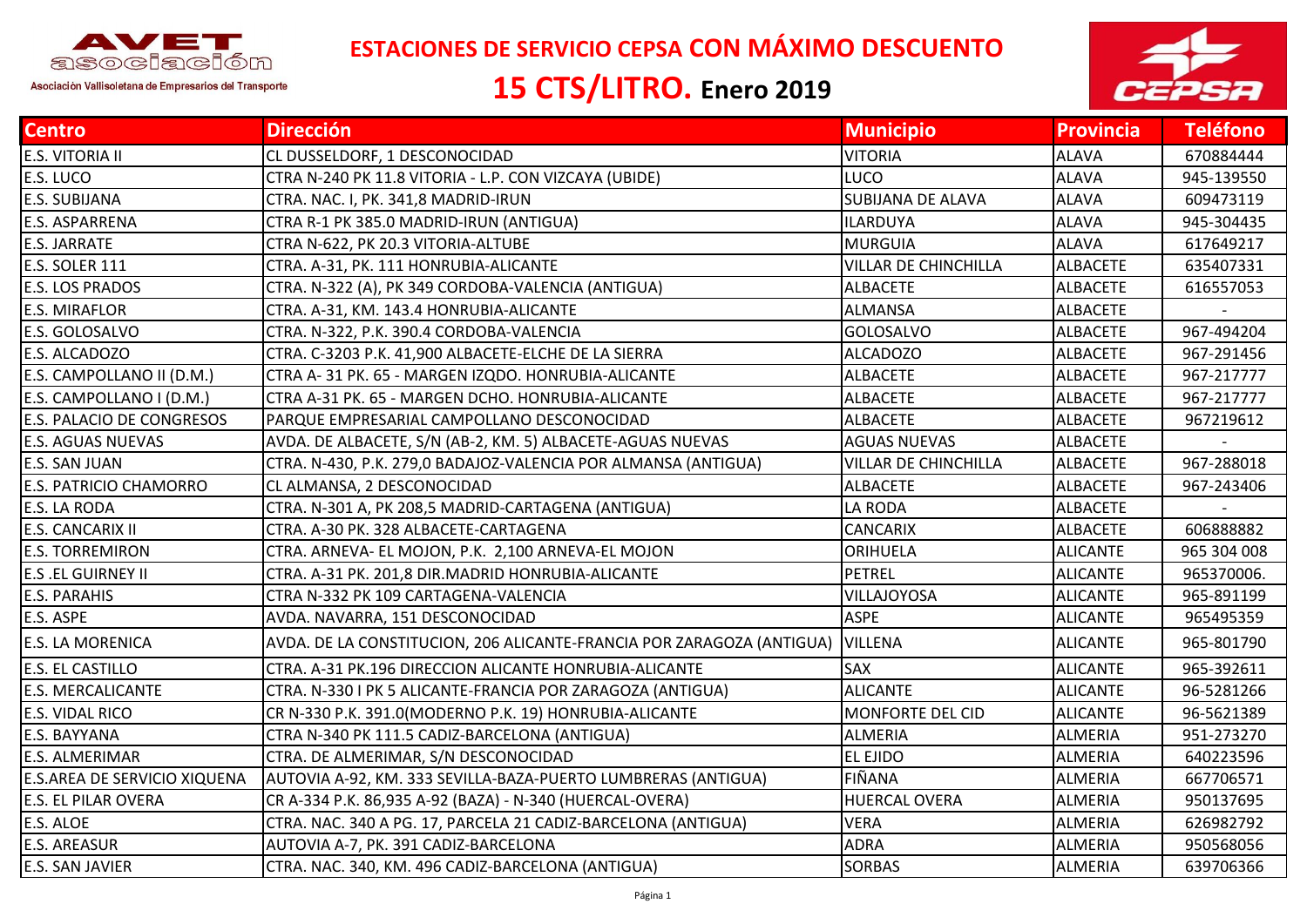

 **ESTACIONES DE SERVICIO CEPSA CON MÁXIMO DESCUENTO**

## **15 CTS/LITRO. Enero 2019**



| <b>Centro</b>                | <b>Dirección</b>                                                      | <b>Municipio</b>            | <b>Provincia</b> | <b>Teléfono</b> |
|------------------------------|-----------------------------------------------------------------------|-----------------------------|------------------|-----------------|
| E.S. VITORIA II              | CL DUSSELDORF, 1 DESCONOCIDAD                                         | <b>VITORIA</b>              | <b>ALAVA</b>     | 670884444       |
| E.S. LUCO                    | CTRA N-240 PK 11.8 VITORIA - L.P. CON VIZCAYA (UBIDE)                 | LUCO                        | <b>ALAVA</b>     | 945-139550      |
| E.S. SUBIJANA                | CTRA. NAC. I, PK. 341,8 MADRID-IRUN                                   | <b>SUBIJANA DE ALAVA</b>    | <b>ALAVA</b>     | 609473119       |
| E.S. ASPARRENA               | CTRA R-1 PK 385.0 MADRID-IRUN (ANTIGUA)                               | <b>ILARDUYA</b>             | <b>ALAVA</b>     | 945-304435      |
| E.S. JARRATE                 | CTRA N-622, PK 20.3 VITORIA-ALTUBE                                    | MURGUIA                     | <b>ALAVA</b>     | 617649217       |
| <b>E.S. SOLER 111</b>        | CTRA. A-31, PK. 111 HONRUBIA-ALICANTE                                 | VILLAR DE CHINCHILLA        | <b>ALBACETE</b>  | 635407331       |
| E.S. LOS PRADOS              | CTRA. N-322 (A), PK 349 CORDOBA-VALENCIA (ANTIGUA)                    | <b>ALBACETE</b>             | <b>ALBACETE</b>  | 616557053       |
| E.S. MIRAFLOR                | CTRA. A-31, KM. 143.4 HONRUBIA-ALICANTE                               | <b>ALMANSA</b>              | ALBACETE         |                 |
| E.S. GOLOSALVO               | CTRA. N-322, P.K. 390.4 CORDOBA-VALENCIA                              | GOLOSALVO                   | <b>ALBACETE</b>  | 967-494204      |
| E.S. ALCADOZO                | CTRA. C-3203 P.K. 41,900 ALBACETE-ELCHE DE LA SIERRA                  | <b>ALCADOZO</b>             | <b>ALBACETE</b>  | 967-291456      |
| E.S. CAMPOLLANO II (D.M.)    | CTRA A-31 PK. 65 - MARGEN IZQDO. HONRUBIA-ALICANTE                    | <b>ALBACETE</b>             | <b>ALBACETE</b>  | 967-217777      |
| E.S. CAMPOLLANO I (D.M.)     | CTRA A-31 PK. 65 - MARGEN DCHO. HONRUBIA-ALICANTE                     | <b>ALBACETE</b>             | <b>ALBACETE</b>  | 967-217777      |
| E.S. PALACIO DE CONGRESOS    | PARQUE EMPRESARIAL CAMPOLLANO DESCONOCIDAD                            | <b>ALBACETE</b>             | <b>ALBACETE</b>  | 967219612       |
| E.S. AGUAS NUEVAS            | AVDA. DE ALBACETE, S/N (AB-2, KM. 5) ALBACETE-AGUAS NUEVAS            | <b>AGUAS NUEVAS</b>         | <b>ALBACETE</b>  |                 |
| E.S. SAN JUAN                | CTRA. N-430, P.K. 279,0 BADAJOZ-VALENCIA POR ALMANSA (ANTIGUA)        | <b>VILLAR DE CHINCHILLA</b> | <b>ALBACETE</b>  | 967-288018      |
| E.S. PATRICIO CHAMORRO       | CL ALMANSA, 2 DESCONOCIDAD                                            | <b>ALBACETE</b>             | ALBACETE         | 967-243406      |
| E.S. LA RODA                 | CTRA. N-301 A, PK 208,5 MADRID-CARTAGENA (ANTIGUA)                    | LA RODA                     | <b>ALBACETE</b>  |                 |
| E.S. CANCARIX II             | CTRA. A-30 PK. 328 ALBACETE-CARTAGENA                                 | <b>CANCARIX</b>             | <b>ALBACETE</b>  | 606888882       |
| <b>E.S. TORREMIRON</b>       | CTRA. ARNEVA- EL MOJON, P.K. 2,100 ARNEVA-EL MOJON                    | ORIHUELA                    | <b>ALICANTE</b>  | 965 304 008     |
| E.S .EL GUIRNEY II           | CTRA. A-31 PK. 201,8 DIR.MADRID HONRUBIA-ALICANTE                     | PETREL                      | <b>ALICANTE</b>  | 965370006.      |
| E.S. PARAHIS                 | CTRA N-332 PK 109 CARTAGENA-VALENCIA                                  | VILLAJOYOSA                 | <b>ALICANTE</b>  | 965-891199      |
| E.S. ASPE                    | AVDA. NAVARRA, 151 DESCONOCIDAD                                       | <b>ASPE</b>                 | <b>ALICANTE</b>  | 965495359       |
| E.S. LA MORENICA             | AVDA. DE LA CONSTITUCION, 206 ALICANTE-FRANCIA POR ZARAGOZA (ANTIGUA) | VILLENA                     | <b>ALICANTE</b>  | 965-801790      |
| E.S. EL CASTILLO             | CTRA. A-31 PK.196 DIRECCION ALICANTE HONRUBIA-ALICANTE                | <b>SAX</b>                  | <b>ALICANTE</b>  | 965-392611      |
| <b>E.S. MERCALICANTE</b>     | CTRA. N-330 I PK 5 ALICANTE-FRANCIA POR ZARAGOZA (ANTIGUA)            | <b>ALICANTE</b>             | <b>ALICANTE</b>  | 96-5281266      |
| E.S. VIDAL RICO              | CR N-330 P.K. 391.0(MODERNO P.K. 19) HONRUBIA-ALICANTE                | <b>MONFORTE DEL CID</b>     | <b>ALICANTE</b>  | 96-5621389      |
| E.S. BAYYANA                 | CTRA N-340 PK 111.5 CADIZ-BARCELONA (ANTIGUA)                         | ALMERIA                     | <b>ALMERIA</b>   | 951-273270      |
| E.S. ALMERIMAR               | CTRA. DE ALMERIMAR, S/N DESCONOCIDAD                                  | EL EJIDO                    | <b>ALMERIA</b>   | 640223596       |
| E.S.AREA DE SERVICIO XIQUENA | AUTOVIA A-92, KM. 333 SEVILLA-BAZA-PUERTO LUMBRERAS (ANTIGUA)         | FIÑANA                      | <b>ALMERIA</b>   | 667706571       |
| E.S. EL PILAR OVERA          | CR A-334 P.K. 86,935 A-92 (BAZA) - N-340 (HUERCAL-OVERA)              | <b>HUERCAL OVERA</b>        | <b>ALMERIA</b>   | 950137695       |
| E.S. ALOE                    | CTRA. NAC. 340 A PG. 17, PARCELA 21 CADIZ-BARCELONA (ANTIGUA)         | <b>VERA</b>                 | <b>ALMERIA</b>   | 626982792       |
| <b>E.S. AREASUR</b>          | AUTOVIA A-7, PK. 391 CADIZ-BARCELONA                                  | <b>ADRA</b>                 | <b>ALMERIA</b>   | 950568056       |
| E.S. SAN JAVIER              | CTRA. NAC. 340, KM. 496 CADIZ-BARCELONA (ANTIGUA)                     | <b>SORBAS</b>               | <b>ALMERIA</b>   | 639706366       |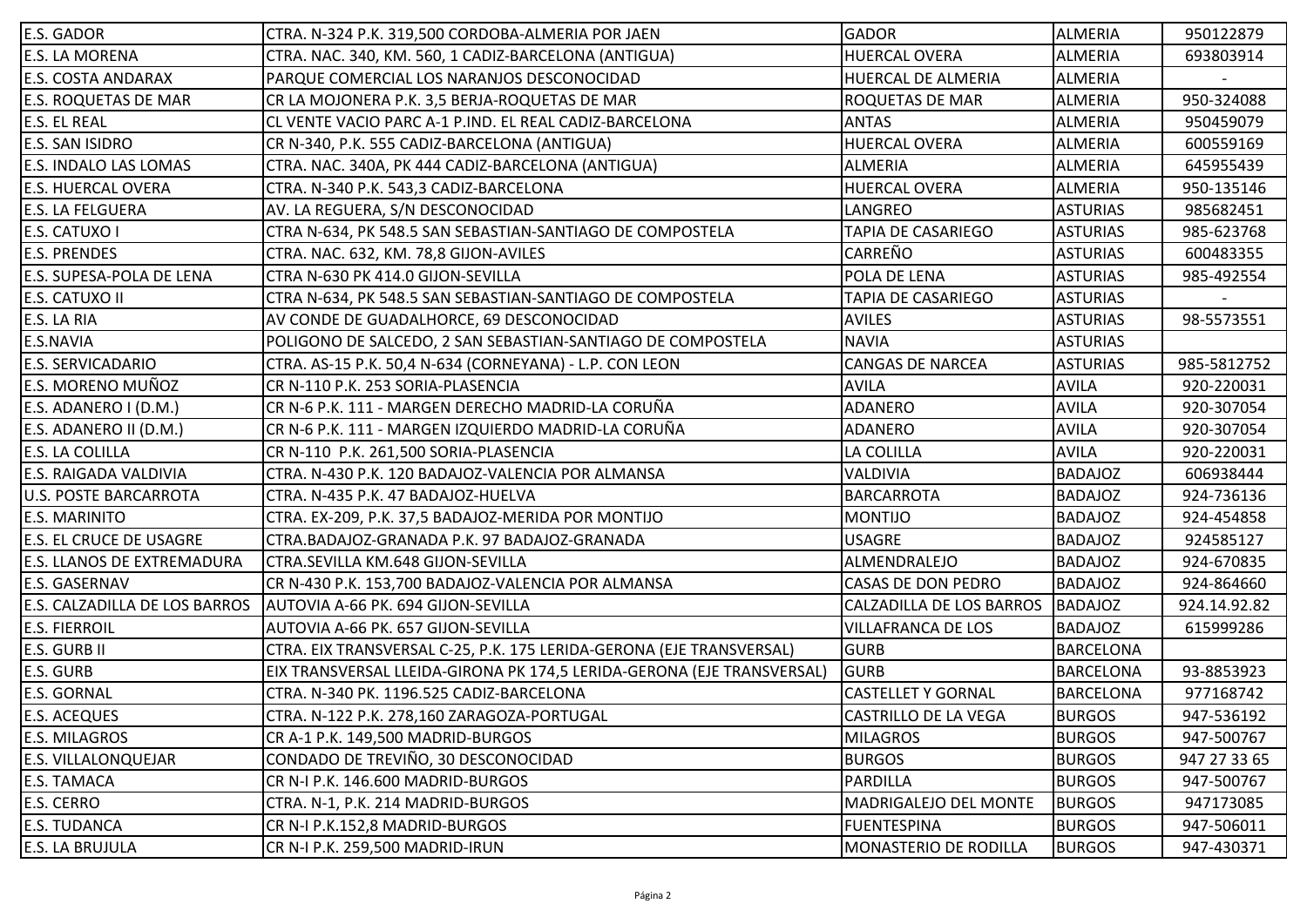| <b>E.S. GADOR</b>                    | CTRA. N-324 P.K. 319,500 CORDOBA-ALMERIA POR JAEN                      | <b>GADOR</b>                | <b>ALMERIA</b>   | 950122879    |
|--------------------------------------|------------------------------------------------------------------------|-----------------------------|------------------|--------------|
| <b>E.S. LA MORENA</b>                | CTRA. NAC. 340, KM. 560, 1 CADIZ-BARCELONA (ANTIGUA)                   | <b>HUERCAL OVERA</b>        | <b>ALMERIA</b>   | 693803914    |
| <b>E.S. COSTA ANDARAX</b>            | PARQUE COMERCIAL LOS NARANJOS DESCONOCIDAD                             | HUERCAL DE ALMERIA          | <b>ALMERIA</b>   |              |
| <b>E.S. ROQUETAS DE MAR</b>          | CR LA MOJONERA P.K. 3,5 BERJA-ROQUETAS DE MAR                          | ROQUETAS DE MAR             | <b>ALMERIA</b>   | 950-324088   |
| <b>E.S. EL REAL</b>                  | CL VENTE VACIO PARC A-1 P.IND. EL REAL CADIZ-BARCELONA                 | <b>ANTAS</b>                | <b>ALMERIA</b>   | 950459079    |
| <b>E.S. SAN ISIDRO</b>               | CR N-340, P.K. 555 CADIZ-BARCELONA (ANTIGUA)                           | HUERCAL OVERA               | <b>ALMERIA</b>   | 600559169    |
| <b>E.S. INDALO LAS LOMAS</b>         | CTRA. NAC. 340A, PK 444 CADIZ-BARCELONA (ANTIGUA)                      | <b>ALMERIA</b>              | <b>ALMERIA</b>   | 645955439    |
| <b>E.S. HUERCAL OVERA</b>            | CTRA. N-340 P.K. 543,3 CADIZ-BARCELONA                                 | <b>HUERCAL OVERA</b>        | <b>ALMERIA</b>   | 950-135146   |
| <b>E.S. LA FELGUERA</b>              | AV. LA REGUERA, S/N DESCONOCIDAD                                       | LANGREO                     | <b>ASTURIAS</b>  | 985682451    |
| <b>E.S. CATUXO I</b>                 | CTRA N-634, PK 548.5 SAN SEBASTIAN-SANTIAGO DE COMPOSTELA              | TAPIA DE CASARIEGO          | <b>ASTURIAS</b>  | 985-623768   |
| <b>E.S. PRENDES</b>                  | CTRA. NAC. 632, KM. 78,8 GIJON-AVILES                                  | CARREÑO                     | <b>ASTURIAS</b>  | 600483355    |
| E.S. SUPESA-POLA DE LENA             | CTRA N-630 PK 414.0 GIJON-SEVILLA                                      | POLA DE LENA                | <b>ASTURIAS</b>  | 985-492554   |
| <b>E.S. CATUXO II</b>                | CTRA N-634, PK 548.5 SAN SEBASTIAN-SANTIAGO DE COMPOSTELA              | <b>TAPIA DE CASARIEGO</b>   | <b>ASTURIAS</b>  |              |
| E.S. LA RIA                          | AV CONDE DE GUADALHORCE, 69 DESCONOCIDAD                               | <b>AVILES</b>               | <b>ASTURIAS</b>  | 98-5573551   |
| E.S.NAVIA                            | POLIGONO DE SALCEDO, 2 SAN SEBASTIAN-SANTIAGO DE COMPOSTELA            | <b>NAVIA</b>                | <b>ASTURIAS</b>  |              |
| <b>E.S. SERVICADARIO</b>             | CTRA. AS-15 P.K. 50,4 N-634 (CORNEYANA) - L.P. CON LEON                | <b>CANGAS DE NARCEA</b>     | <b>ASTURIAS</b>  | 985-5812752  |
| E.S. MORENO MUÑOZ                    | CR N-110 P.K. 253 SORIA-PLASENCIA                                      | <b>AVILA</b>                | <b>AVILA</b>     | 920-220031   |
| E.S. ADANERO I (D.M.)                | CR N-6 P.K. 111 - MARGEN DERECHO MADRID-LA CORUÑA                      | ADANERO                     | <b>AVILA</b>     | 920-307054   |
| E.S. ADANERO II (D.M.)               | CR N-6 P.K. 111 - MARGEN IZQUIERDO MADRID-LA CORUÑA                    | <b>ADANERO</b>              | <b>AVILA</b>     | 920-307054   |
| <b>E.S. LA COLILLA</b>               | CR N-110 P.K. 261,500 SORIA-PLASENCIA                                  | LA COLILLA                  | <b>AVILA</b>     | 920-220031   |
| <b>E.S. RAIGADA VALDIVIA</b>         | CTRA. N-430 P.K. 120 BADAJOZ-VALENCIA POR ALMANSA                      | <b>VALDIVIA</b>             | <b>BADAJOZ</b>   | 606938444    |
| U.S. POSTE BARCARROTA                | CTRA. N-435 P.K. 47 BADAJOZ-HUELVA                                     | <b>BARCARROTA</b>           | <b>BADAJOZ</b>   | 924-736136   |
| <b>E.S. MARINITO</b>                 | CTRA. EX-209, P.K. 37,5 BADAJOZ-MERIDA POR MONTIJO                     | <b>MONTIJO</b>              | <b>BADAJOZ</b>   | 924-454858   |
| <b>E.S. EL CRUCE DE USAGRE</b>       | CTRA.BADAJOZ-GRANADA P.K. 97 BADAJOZ-GRANADA                           | USAGRE                      | <b>BADAJOZ</b>   | 924585127    |
| <b>E.S. LLANOS DE EXTREMADURA</b>    | CTRA.SEVILLA KM.648 GIJON-SEVILLA                                      | ALMENDRALEJO                | <b>BADAJOZ</b>   | 924-670835   |
| <b>E.S. GASERNAV</b>                 | CR N-430 P.K. 153,700 BADAJOZ-VALENCIA POR ALMANSA                     | CASAS DE DON PEDRO          | <b>BADAJOZ</b>   | 924-864660   |
| <b>E.S. CALZADILLA DE LOS BARROS</b> | AUTOVIA A-66 PK. 694 GIJON-SEVILLA                                     | CALZADILLA DE LOS BARROS    | <b>BADAJOZ</b>   | 924.14.92.82 |
| <b>E.S. FIERROIL</b>                 | AUTOVIA A-66 PK. 657 GIJON-SEVILLA                                     | <b>VILLAFRANCA DE LOS</b>   | <b>BADAJOZ</b>   | 615999286    |
| <b>E.S. GURB II</b>                  | CTRA. EIX TRANSVERSAL C-25, P.K. 175 LERIDA-GERONA (EJE TRANSVERSAL)   | <b>GURB</b>                 | <b>BARCELONA</b> |              |
| <b>E.S. GURB</b>                     | EIX TRANSVERSAL LLEIDA-GIRONA PK 174,5 LERIDA-GERONA (EJE TRANSVERSAL) | <b>GURB</b>                 | <b>BARCELONA</b> | 93-8853923   |
| <b>E.S. GORNAL</b>                   | CTRA. N-340 PK. 1196.525 CADIZ-BARCELONA                               | <b>CASTELLET Y GORNAL</b>   | <b>BARCELONA</b> | 977168742    |
| <b>E.S. ACEQUES</b>                  | CTRA. N-122 P.K. 278,160 ZARAGOZA-PORTUGAL                             | <b>CASTRILLO DE LA VEGA</b> | <b>BURGOS</b>    | 947-536192   |
| <b>E.S. MILAGROS</b>                 | CR A-1 P.K. 149,500 MADRID-BURGOS                                      | <b>MILAGROS</b>             | <b>BURGOS</b>    | 947-500767   |
| <b>E.S. VILLALONQUEJAR</b>           | CONDADO DE TREVIÑO, 30 DESCONOCIDAD                                    | <b>BURGOS</b>               | <b>BURGOS</b>    | 947 27 33 65 |
| <b>E.S. TAMACA</b>                   | CR N-I P.K. 146.600 MADRID-BURGOS                                      | <b>PARDILLA</b>             | <b>BURGOS</b>    | 947-500767   |
| E.S. CERRO                           | CTRA. N-1, P.K. 214 MADRID-BURGOS                                      | MADRIGALEJO DEL MONTE       | <b>BURGOS</b>    | 947173085    |
| <b>E.S. TUDANCA</b>                  | CR N-I P.K.152,8 MADRID-BURGOS                                         | <b>FUENTESPINA</b>          | <b>BURGOS</b>    | 947-506011   |
| <b>E.S. LA BRUJULA</b>               | CR N-I P.K. 259,500 MADRID-IRUN                                        | MONASTERIO DE RODILLA       | <b>BURGOS</b>    | 947-430371   |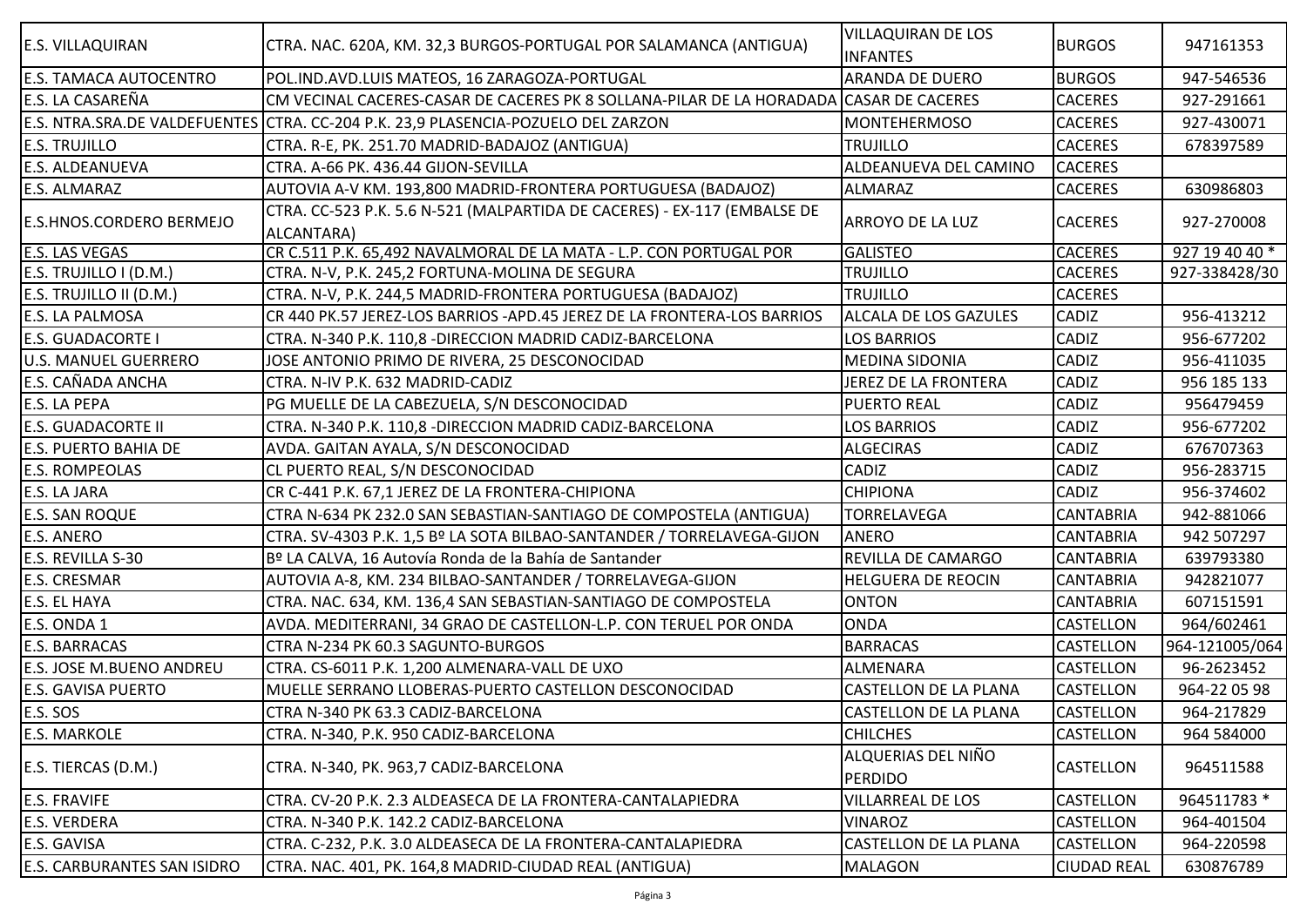| <b>E.S. VILLAQUIRAN</b>            | CTRA. NAC. 620A, KM. 32,3 BURGOS-PORTUGAL POR SALAMANCA (ANTIGUA)                      | <b>VILLAQUIRAN DE LOS</b><br><b>INFANTES</b> | <b>BURGOS</b>      | 947161353      |
|------------------------------------|----------------------------------------------------------------------------------------|----------------------------------------------|--------------------|----------------|
| <b>E.S. TAMACA AUTOCENTRO</b>      | POL.IND.AVD.LUIS MATEOS, 16 ZARAGOZA-PORTUGAL                                          | <b>ARANDA DE DUERO</b>                       | <b>BURGOS</b>      | 947-546536     |
| E.S. LA CASAREÑA                   | CM VECINAL CACERES-CASAR DE CACERES PK 8 SOLLANA-PILAR DE LA HORADADA CASAR DE CACERES |                                              | <b>CACERES</b>     | 927-291661     |
|                                    | E.S. NTRA.SRA.DE VALDEFUENTES CTTRA. CC-204 P.K. 23,9 PLASENCIA-POZUELO DEL ZARZON     | <b>MONTEHERMOSO</b>                          | <b>CACERES</b>     | 927-430071     |
| <b>E.S. TRUJILLO</b>               | CTRA. R-E, PK. 251.70 MADRID-BADAJOZ (ANTIGUA)                                         | TRUJILLO                                     | <b>CACERES</b>     | 678397589      |
| <b>E.S. ALDEANUEVA</b>             | CTRA. A-66 PK. 436.44 GIJON-SEVILLA                                                    | ALDEANUEVA DEL CAMINO                        | <b>CACERES</b>     |                |
| <b>E.S. ALMARAZ</b>                | AUTOVIA A-V KM. 193,800 MADRID-FRONTERA PORTUGUESA (BADAJOZ)                           | ALMARAZ                                      | <b>CACERES</b>     | 630986803      |
| <b>E.S.HNOS.CORDERO BERMEJO</b>    | CTRA. CC-523 P.K. 5.6 N-521 (MALPARTIDA DE CACERES) - EX-117 (EMBALSE DE<br>ALCANTARA) | <b>ARROYO DE LA LUZ</b>                      | <b>CACERES</b>     | 927-270008     |
| <b>E.S. LAS VEGAS</b>              | CR C.511 P.K. 65,492 NAVALMORAL DE LA MATA - L.P. CON PORTUGAL POR                     | <b>GALISTEO</b>                              | <b>CACERES</b>     | 927 19 40 40 * |
| E.S. TRUJILLO I (D.M.)             | CTRA. N-V, P.K. 245,2 FORTUNA-MOLINA DE SEGURA                                         | <b>TRUJILLO</b>                              | <b>CACERES</b>     | 927-338428/30  |
| E.S. TRUJILLO II (D.M.)            | CTRA. N-V, P.K. 244,5 MADRID-FRONTERA PORTUGUESA (BADAJOZ)                             | TRUJILLO                                     | <b>CACERES</b>     |                |
| <b>E.S. LA PALMOSA</b>             | CR 440 PK.57 JEREZ-LOS BARRIOS - APD.45 JEREZ DE LA FRONTERA-LOS BARRIOS               | <b>ALCALA DE LOS GAZULES</b>                 | <b>CADIZ</b>       | 956-413212     |
| <b>E.S. GUADACORTE I</b>           | CTRA. N-340 P.K. 110,8 - DIRECCION MADRID CADIZ-BARCELONA                              | <b>LOS BARRIOS</b>                           | CADIZ              | 956-677202     |
| <b>U.S. MANUEL GUERRERO</b>        | JOSE ANTONIO PRIMO DE RIVERA, 25 DESCONOCIDAD                                          | <b>MEDINA SIDONIA</b>                        | <b>CADIZ</b>       | 956-411035     |
| <b>E.S. CAÑADA ANCHA</b>           | CTRA. N-IV P.K. 632 MADRID-CADIZ                                                       | JEREZ DE LA FRONTERA                         | <b>CADIZ</b>       | 956 185 133    |
| <b>E.S. LA PEPA</b>                | PG MUELLE DE LA CABEZUELA, S/N DESCONOCIDAD                                            | <b>PUERTO REAL</b>                           | <b>CADIZ</b>       | 956479459      |
| <b>E.S. GUADACORTE II</b>          | CTRA. N-340 P.K. 110,8 - DIRECCION MADRID CADIZ-BARCELONA                              | <b>LOS BARRIOS</b>                           | <b>CADIZ</b>       | 956-677202     |
| <b>E.S. PUERTO BAHIA DE</b>        | AVDA. GAITAN AYALA, S/N DESCONOCIDAD                                                   | <b>ALGECIRAS</b>                             | CADIZ              | 676707363      |
| <b>E.S. ROMPEOLAS</b>              | CL PUERTO REAL, S/N DESCONOCIDAD                                                       | CADIZ                                        | <b>CADIZ</b>       | 956-283715     |
| <b>E.S. LA JARA</b>                | CR C-441 P.K. 67,1 JEREZ DE LA FRONTERA-CHIPIONA                                       | <b>CHIPIONA</b>                              | <b>CADIZ</b>       | 956-374602     |
| <b>E.S. SAN ROQUE</b>              | CTRA N-634 PK 232.0 SAN SEBASTIAN-SANTIAGO DE COMPOSTELA (ANTIGUA)                     | <b>TORRELAVEGA</b>                           | <b>CANTABRIA</b>   | 942-881066     |
| <b>E.S. ANERO</b>                  | CTRA. SV-4303 P.K. 1,5 Bº LA SOTA BILBAO-SANTANDER / TORRELAVEGA-GIJON                 | <b>ANERO</b>                                 | <b>CANTABRIA</b>   | 942 507297     |
| E.S. REVILLA S-30                  | Bº LA CALVA, 16 Autovía Ronda de la Bahía de Santander                                 | REVILLA DE CAMARGO                           | <b>CANTABRIA</b>   | 639793380      |
| <b>E.S. CRESMAR</b>                | AUTOVIA A-8, KM. 234 BILBAO-SANTANDER / TORRELAVEGA-GIJON                              | <b>HELGUERA DE REOCIN</b>                    | <b>CANTABRIA</b>   | 942821077      |
| <b>E.S. EL HAYA</b>                | CTRA. NAC. 634, KM. 136,4 SAN SEBASTIAN-SANTIAGO DE COMPOSTELA                         | <b>ONTON</b>                                 | <b>CANTABRIA</b>   | 607151591      |
| E.S. ONDA 1                        | AVDA. MEDITERRANI, 34 GRAO DE CASTELLON-L.P. CON TERUEL POR ONDA                       | <b>ONDA</b>                                  | <b>CASTELLON</b>   | 964/602461     |
| <b>E.S. BARRACAS</b>               | CTRA N-234 PK 60.3 SAGUNTO-BURGOS                                                      | <b>BARRACAS</b>                              | CASTELLON          | 964-121005/064 |
| <b>E.S. JOSE M.BUENO ANDREU</b>    | CTRA. CS-6011 P.K. 1,200 ALMENARA-VALL DE UXO                                          | <b>ALMENARA</b>                              | <b>CASTELLON</b>   | 96-2623452     |
| <b>E.S. GAVISA PUERTO</b>          | MUELLE SERRANO LLOBERAS-PUERTO CASTELLON DESCONOCIDAD                                  | CASTELLON DE LA PLANA                        | <b>CASTELLON</b>   | 964-22 05 98   |
| E.S. SOS                           | CTRA N-340 PK 63.3 CADIZ-BARCELONA                                                     | <b>CASTELLON DE LA PLANA</b>                 | <b>CASTELLON</b>   | 964-217829     |
| <b>E.S. MARKOLE</b>                | CTRA. N-340, P.K. 950 CADIZ-BARCELONA                                                  | <b>CHILCHES</b>                              | <b>CASTELLON</b>   | 964 584000     |
| E.S. TIERCAS (D.M.)                | CTRA. N-340, PK. 963,7 CADIZ-BARCELONA                                                 | ALQUERIAS DEL NIÑO<br><b>PERDIDO</b>         | <b>CASTELLON</b>   | 964511588      |
| <b>E.S. FRAVIFE</b>                | CTRA. CV-20 P.K. 2.3 ALDEASECA DE LA FRONTERA-CANTALAPIEDRA                            | <b>VILLARREAL DE LOS</b>                     | <b>CASTELLON</b>   | 964511783 *    |
| <b>E.S. VERDERA</b>                | CTRA. N-340 P.K. 142.2 CADIZ-BARCELONA                                                 | <b>VINAROZ</b>                               | <b>CASTELLON</b>   | 964-401504     |
| E.S. GAVISA                        | CTRA. C-232, P.K. 3.0 ALDEASECA DE LA FRONTERA-CANTALAPIEDRA                           | CASTELLON DE LA PLANA                        | <b>CASTELLON</b>   | 964-220598     |
| <b>E.S. CARBURANTES SAN ISIDRO</b> | CTRA. NAC. 401, PK. 164,8 MADRID-CIUDAD REAL (ANTIGUA)                                 | <b>MALAGON</b>                               | <b>CIUDAD REAL</b> | 630876789      |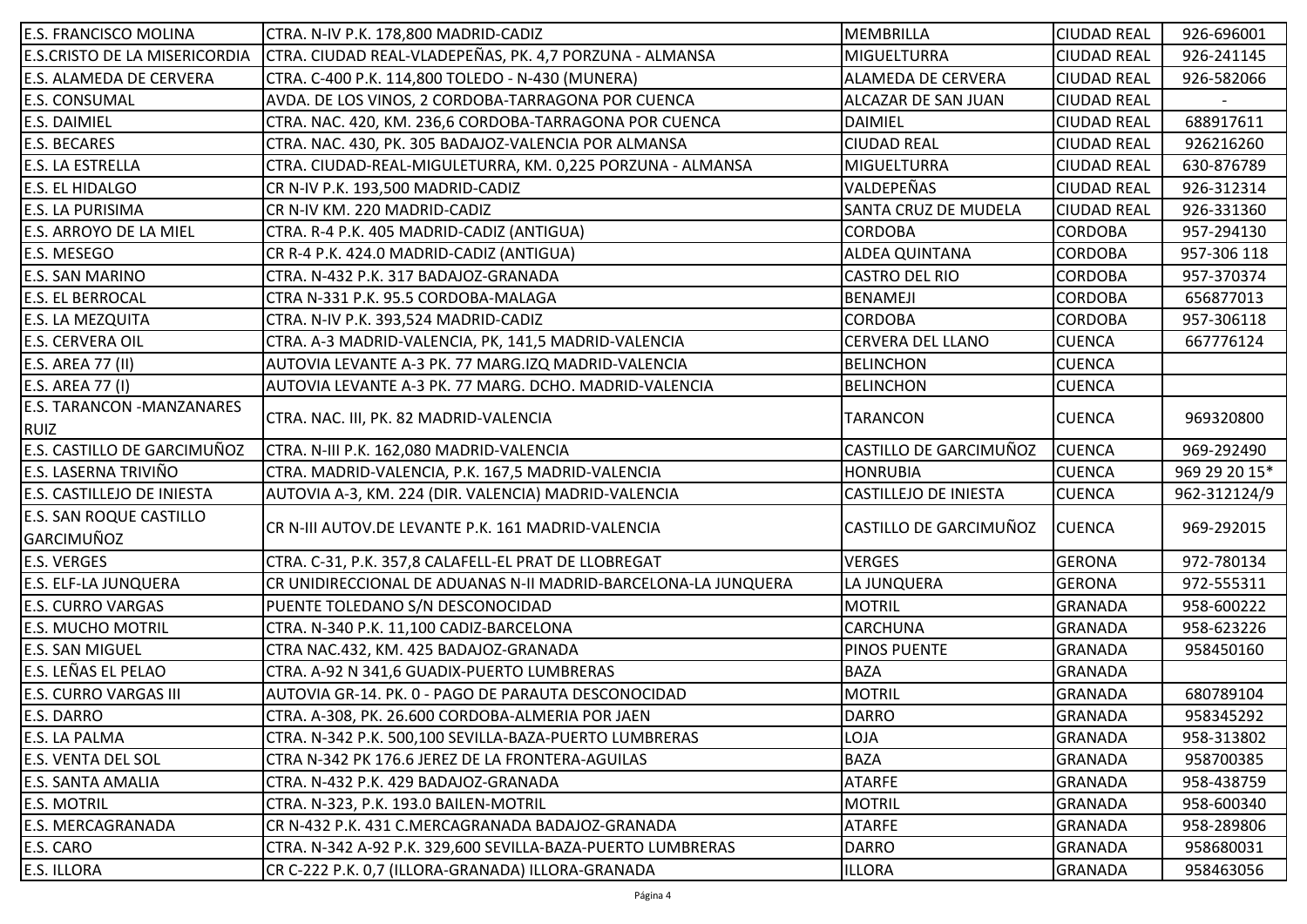| <b>E.S. FRANCISCO MOLINA</b>                    | CTRA. N-IV P.K. 178,800 MADRID-CADIZ                           | <b>MEMBRILLA</b>          | <b>CIUDAD REAL</b> | 926-696001    |
|-------------------------------------------------|----------------------------------------------------------------|---------------------------|--------------------|---------------|
| <b>E.S.CRISTO DE LA MISERICORDIA</b>            | CTRA. CIUDAD REAL-VLADEPEÑAS, PK. 4,7 PORZUNA - ALMANSA        | <b>MIGUELTURRA</b>        | <b>CIUDAD REAL</b> | 926-241145    |
| <b>E.S. ALAMEDA DE CERVERA</b>                  | CTRA. C-400 P.K. 114,800 TOLEDO - N-430 (MUNERA)               | <b>ALAMEDA DE CERVERA</b> | <b>CIUDAD REAL</b> | 926-582066    |
| <b>E.S. CONSUMAL</b>                            | AVDA. DE LOS VINOS, 2 CORDOBA-TARRAGONA POR CUENCA             | ALCAZAR DE SAN JUAN       | <b>CIUDAD REAL</b> |               |
| <b>E.S. DAIMIEL</b>                             | CTRA. NAC. 420, KM. 236,6 CORDOBA-TARRAGONA POR CUENCA         | <b>DAIMIEL</b>            | <b>CIUDAD REAL</b> | 688917611     |
| <b>E.S. BECARES</b>                             | CTRA. NAC. 430, PK. 305 BADAJOZ-VALENCIA POR ALMANSA           | <b>CIUDAD REAL</b>        | <b>CIUDAD REAL</b> | 926216260     |
| <b>E.S. LA ESTRELLA</b>                         | CTRA. CIUDAD-REAL-MIGULETURRA, KM. 0,225 PORZUNA - ALMANSA     | <b>MIGUELTURRA</b>        | <b>CIUDAD REAL</b> | 630-876789    |
| <b>E.S. EL HIDALGO</b>                          | CR N-IV P.K. 193,500 MADRID-CADIZ                              | VALDEPEÑAS                | <b>CIUDAD REAL</b> | 926-312314    |
| E.S. LA PURISIMA                                | CR N-IV KM. 220 MADRID-CADIZ                                   | SANTA CRUZ DE MUDELA      | <b>CIUDAD REAL</b> | 926-331360    |
| <b>E.S. ARROYO DE LA MIEL</b>                   | CTRA. R-4 P.K. 405 MADRID-CADIZ (ANTIGUA)                      | <b>CORDOBA</b>            | <b>CORDOBA</b>     | 957-294130    |
| E.S. MESEGO                                     | CR R-4 P.K. 424.0 MADRID-CADIZ (ANTIGUA)                       | <b>ALDEA QUINTANA</b>     | <b>CORDOBA</b>     | 957-306 118   |
| <b>E.S. SAN MARINO</b>                          | CTRA. N-432 P.K. 317 BADAJOZ-GRANADA                           | CASTRO DEL RIO            | <b>CORDOBA</b>     | 957-370374    |
| <b>E.S. EL BERROCAL</b>                         | CTRA N-331 P.K. 95.5 CORDOBA-MALAGA                            | <b>BENAMEJI</b>           | <b>CORDOBA</b>     | 656877013     |
| <b>E.S. LA MEZQUITA</b>                         | CTRA. N-IV P.K. 393,524 MADRID-CADIZ                           | <b>CORDOBA</b>            | <b>CORDOBA</b>     | 957-306118    |
| <b>E.S. CERVERA OIL</b>                         | CTRA. A-3 MADRID-VALENCIA, PK, 141,5 MADRID-VALENCIA           | CERVERA DEL LLANO         | <b>CUENCA</b>      | 667776124     |
| <b>E.S. AREA 77 (II)</b>                        | AUTOVIA LEVANTE A-3 PK. 77 MARG.IZQ MADRID-VALENCIA            | <b>BELINCHON</b>          | <b>CUENCA</b>      |               |
| <b>E.S. AREA 77 (I)</b>                         | AUTOVIA LEVANTE A-3 PK. 77 MARG. DCHO. MADRID-VALENCIA         | <b>BELINCHON</b>          | <b>CUENCA</b>      |               |
| <b>E.S. TARANCON -MANZANARES</b><br><b>RUIZ</b> | CTRA. NAC. III, PK. 82 MADRID-VALENCIA                         | TARANCON                  | <b>CUENCA</b>      | 969320800     |
| E.S. CASTILLO DE GARCIMUÑOZ                     | CTRA. N-III P.K. 162,080 MADRID-VALENCIA                       | CASTILLO DE GARCIMUÑOZ    | <b>CUENCA</b>      | 969-292490    |
| E.S. LASERNA TRIVIÑO                            | CTRA. MADRID-VALENCIA, P.K. 167,5 MADRID-VALENCIA              | HONRUBIA                  | <b>CUENCA</b>      | 969 29 20 15* |
| <b>E.S. CASTILLEJO DE INIESTA</b>               | AUTOVIA A-3, KM. 224 (DIR. VALENCIA) MADRID-VALENCIA           | CASTILLEJO DE INIESTA     | <b>CUENCA</b>      | 962-312124/9  |
| <b>E.S. SAN ROQUE CASTILLO</b><br>GARCIMUÑOZ    | CR N-III AUTOV.DE LEVANTE P.K. 161 MADRID-VALENCIA             | CASTILLO DE GARCIMUÑOZ    | <b>CUENCA</b>      | 969-292015    |
| <b>E.S. VERGES</b>                              | CTRA. C-31, P.K. 357,8 CALAFELL-EL PRAT DE LLOBREGAT           | <b>VERGES</b>             | GERONA             | 972-780134    |
| <b>E.S. ELF-LA JUNQUERA</b>                     | CR UNIDIRECCIONAL DE ADUANAS N-II MADRID-BARCELONA-LA JUNQUERA | LA JUNQUERA               | <b>GERONA</b>      | 972-555311    |
| <b>E.S. CURRO VARGAS</b>                        | PUENTE TOLEDANO S/N DESCONOCIDAD                               | <b>MOTRIL</b>             | <b>GRANADA</b>     | 958-600222    |
| <b>E.S. MUCHO MOTRIL</b>                        | CTRA. N-340 P.K. 11,100 CADIZ-BARCELONA                        | CARCHUNA                  | <b>GRANADA</b>     | 958-623226    |
| <b>E.S. SAN MIGUEL</b>                          | CTRA NAC.432, KM. 425 BADAJOZ-GRANADA                          | PINOS PUENTE              | <b>GRANADA</b>     | 958450160     |
| E.S. LEÑAS EL PELAO                             | CTRA. A-92 N 341,6 GUADIX-PUERTO LUMBRERAS                     | <b>BAZA</b>               | <b>GRANADA</b>     |               |
| <b>E.S. CURRO VARGAS III</b>                    | AUTOVIA GR-14. PK. 0 - PAGO DE PARAUTA DESCONOCIDAD            | <b>MOTRIL</b>             | <b>GRANADA</b>     | 680789104     |
| <b>E.S. DARRO</b>                               | CTRA. A-308, PK. 26.600 CORDOBA-ALMERIA POR JAEN               | <b>DARRO</b>              | GRANADA            | 958345292     |
| <b>E.S. LA PALMA</b>                            | CTRA. N-342 P.K. 500,100 SEVILLA-BAZA-PUERTO LUMBRERAS         | LOJA                      | <b>GRANADA</b>     | 958-313802    |
| <b>E.S. VENTA DEL SOL</b>                       | CTRA N-342 PK 176.6 JEREZ DE LA FRONTERA-AGUILAS               | <b>BAZA</b>               | <b>GRANADA</b>     | 958700385     |
| <b>E.S. SANTA AMALIA</b>                        | CTRA. N-432 P.K. 429 BADAJOZ-GRANADA                           | <b>ATARFE</b>             | <b>GRANADA</b>     | 958-438759    |
| <b>E.S. MOTRIL</b>                              | CTRA. N-323, P.K. 193.0 BAILEN-MOTRIL                          | <b>MOTRIL</b>             | <b>GRANADA</b>     | 958-600340    |
| <b>E.S. MERCAGRANADA</b>                        | CR N-432 P.K. 431 C.MERCAGRANADA BADAJOZ-GRANADA               | <b>ATARFE</b>             | <b>GRANADA</b>     | 958-289806    |
| E.S. CARO                                       | CTRA. N-342 A-92 P.K. 329,600 SEVILLA-BAZA-PUERTO LUMBRERAS    | <b>DARRO</b>              | <b>GRANADA</b>     | 958680031     |
| <b>E.S. ILLORA</b>                              | CR C-222 P.K. 0,7 (ILLORA-GRANADA) ILLORA-GRANADA              | <b>ILLORA</b>             | <b>GRANADA</b>     | 958463056     |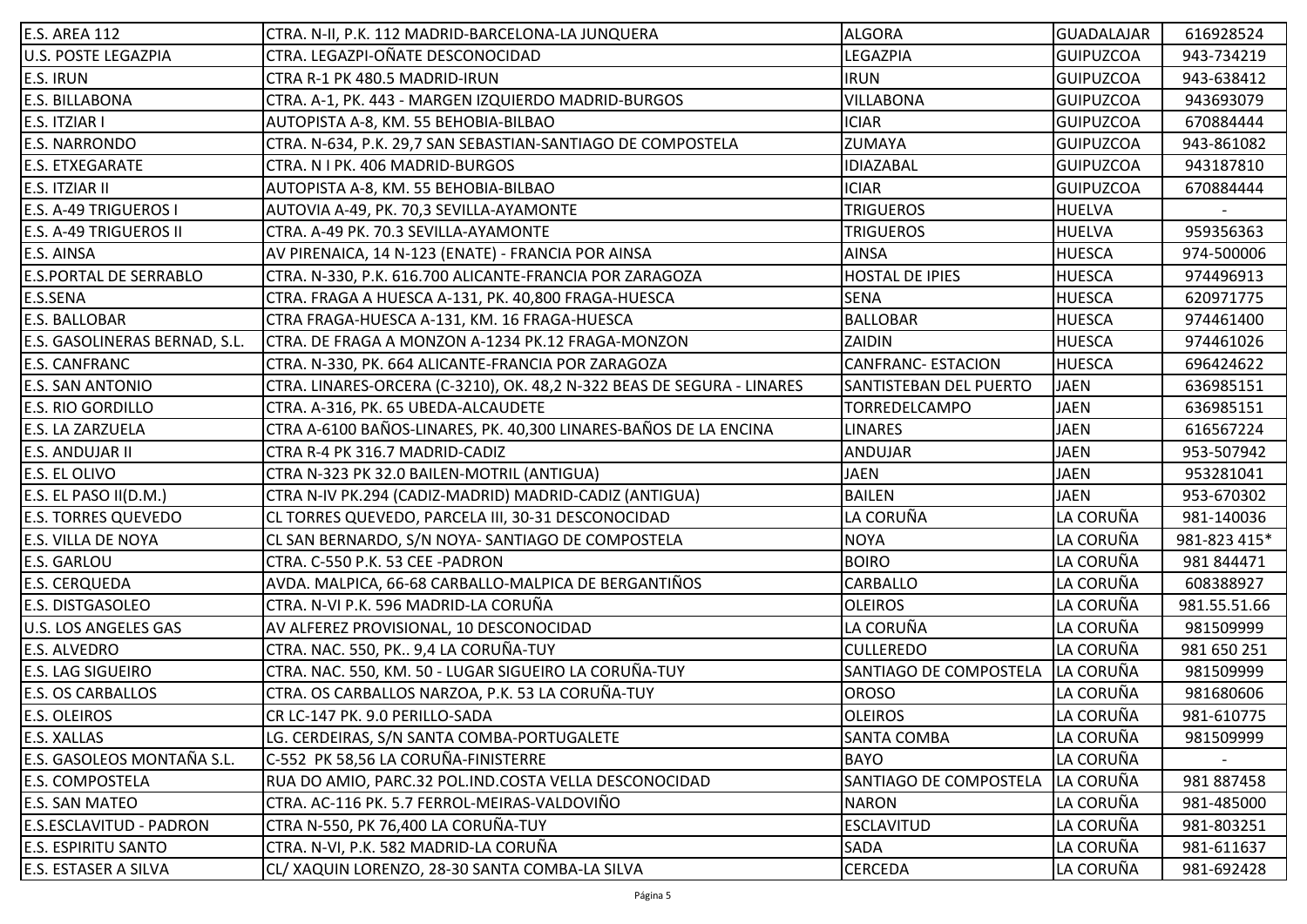| E.S. AREA 112                  | CTRA. N-II, P.K. 112 MADRID-BARCELONA-LA JUNQUERA                      | <b>ALGORA</b>                     | <b>GUADALAJAR</b> | 616928524    |
|--------------------------------|------------------------------------------------------------------------|-----------------------------------|-------------------|--------------|
| <b>U.S. POSTE LEGAZPIA</b>     | CTRA. LEGAZPI-OÑATE DESCONOCIDAD                                       | LEGAZPIA                          | <b>GUIPUZCOA</b>  | 943-734219   |
| <b>E.S. IRUN</b>               | CTRA R-1 PK 480.5 MADRID-IRUN                                          | <b>IRUN</b>                       | <b>GUIPUZCOA</b>  | 943-638412   |
| <b>E.S. BILLABONA</b>          | CTRA. A-1, PK. 443 - MARGEN IZQUIERDO MADRID-BURGOS                    | <b>VILLABONA</b>                  | <b>GUIPUZCOA</b>  | 943693079    |
| E.S. ITZIAR I                  | AUTOPISTA A-8, KM. 55 BEHOBIA-BILBAO                                   | <b>ICIAR</b>                      | <b>GUIPUZCOA</b>  | 670884444    |
| <b>E.S. NARRONDO</b>           | CTRA. N-634, P.K. 29,7 SAN SEBASTIAN-SANTIAGO DE COMPOSTELA            | ZUMAYA                            | <b>GUIPUZCOA</b>  | 943-861082   |
| <b>E.S. ETXEGARATE</b>         | CTRA. N I PK. 406 MADRID-BURGOS                                        | <b>IDIAZABAL</b>                  | <b>GUIPUZCOA</b>  | 943187810    |
| <b>E.S. ITZIAR II</b>          | AUTOPISTA A-8, KM. 55 BEHOBIA-BILBAO                                   | <b>ICIAR</b>                      | <b>GUIPUZCOA</b>  | 670884444    |
| <b>E.S. A-49 TRIGUEROS I</b>   | AUTOVIA A-49, PK. 70,3 SEVILLA-AYAMONTE                                | <b>TRIGUEROS</b>                  | <b>HUELVA</b>     |              |
| <b>E.S. A-49 TRIGUEROS II</b>  | CTRA. A-49 PK. 70.3 SEVILLA-AYAMONTE                                   | <b>TRIGUEROS</b>                  | <b>HUELVA</b>     | 959356363    |
| <b>E.S. AINSA</b>              | AV PIRENAICA, 14 N-123 (ENATE) - FRANCIA POR AINSA                     | <b>AINSA</b>                      | <b>HUESCA</b>     | 974-500006   |
| <b>E.S.PORTAL DE SERRABLO</b>  | CTRA. N-330, P.K. 616.700 ALICANTE-FRANCIA POR ZARAGOZA                | HOSTAL DE IPIES                   | <b>HUESCA</b>     | 974496913    |
| E.S.SENA                       | CTRA. FRAGA A HUESCA A-131, PK. 40,800 FRAGA-HUESCA                    | <b>SENA</b>                       | <b>HUESCA</b>     | 620971775    |
| <b>E.S. BALLOBAR</b>           | CTRA FRAGA-HUESCA A-131, KM. 16 FRAGA-HUESCA                           | <b>BALLOBAR</b>                   | <b>HUESCA</b>     | 974461400    |
| E.S. GASOLINERAS BERNAD, S.L.  | CTRA. DE FRAGA A MONZON A-1234 PK.12 FRAGA-MONZON                      | ZAIDIN                            | <b>HUESCA</b>     | 974461026    |
| <b>E.S. CANFRANC</b>           | CTRA. N-330, PK. 664 ALICANTE-FRANCIA POR ZARAGOZA                     | <b>CANFRANC- ESTACION</b>         | <b>HUESCA</b>     | 696424622    |
| <b>E.S. SAN ANTONIO</b>        | CTRA. LINARES-ORCERA (C-3210), OK. 48,2 N-322 BEAS DE SEGURA - LINARES | SANTISTEBAN DEL PUERTO            | <b>JAEN</b>       | 636985151    |
| <b>E.S. RIO GORDILLO</b>       | CTRA. A-316, PK. 65 UBEDA-ALCAUDETE                                    | TORREDELCAMPO                     | <b>JAEN</b>       | 636985151    |
| E.S. LA ZARZUELA               | CTRA A-6100 BAÑOS-LINARES, PK. 40,300 LINARES-BAÑOS DE LA ENCINA       | <b>LINARES</b>                    | <b>JAEN</b>       | 616567224    |
| E.S. ANDUJAR II                | CTRA R-4 PK 316.7 MADRID-CADIZ                                         | <b>ANDUJAR</b>                    | <b>JAEN</b>       | 953-507942   |
| <b>E.S. EL OLIVO</b>           | CTRA N-323 PK 32.0 BAILEN-MOTRIL (ANTIGUA)                             | <b>JAEN</b>                       | <b>JAEN</b>       | 953281041    |
| E.S. EL PASO II(D.M.)          | CTRA N-IV PK.294 (CADIZ-MADRID) MADRID-CADIZ (ANTIGUA)                 | <b>BAILEN</b>                     | <b>JAEN</b>       | 953-670302   |
| <b>E.S. TORRES QUEVEDO</b>     | CL TORRES QUEVEDO, PARCELA III, 30-31 DESCONOCIDAD                     | LA CORUÑA                         | LA CORUÑA         | 981-140036   |
| <b>E.S. VILLA DE NOYA</b>      | CL SAN BERNARDO, S/N NOYA- SANTIAGO DE COMPOSTELA                      | <b>NOYA</b>                       | LA CORUÑA         | 981-823 415* |
| <b>E.S. GARLOU</b>             | CTRA. C-550 P.K. 53 CEE -PADRON                                        | <b>BOIRO</b>                      | LA CORUÑA         | 981 844471   |
| <b>E.S. CERQUEDA</b>           | AVDA. MALPICA, 66-68 CARBALLO-MALPICA DE BERGANTIÑOS                   | CARBALLO                          | LA CORUÑA         | 608388927    |
| <b>E.S. DISTGASOLEO</b>        | CTRA. N-VI P.K. 596 MADRID-LA CORUÑA                                   | <b>OLEIROS</b>                    | LA CORUÑA         | 981.55.51.66 |
| <b>U.S. LOS ANGELES GAS</b>    | AV ALFEREZ PROVISIONAL, 10 DESCONOCIDAD                                | LA CORUÑA                         | LA CORUÑA         | 981509999    |
| <b>E.S. ALVEDRO</b>            | CTRA. NAC. 550, PK 9,4 LA CORUÑA-TUY                                   | <b>CULLEREDO</b>                  | LA CORUÑA         | 981 650 251  |
| <b>E.S. LAG SIGUEIRO</b>       | CTRA. NAC. 550, KM. 50 - LUGAR SIGUEIRO LA CORUÑA-TUY                  | SANTIAGO DE COMPOSTELA  LA CORUÑA |                   | 981509999    |
| <b>E.S. OS CARBALLOS</b>       | CTRA. OS CARBALLOS NARZOA, P.K. 53 LA CORUÑA-TUY                       | <b>OROSO</b>                      | LA CORUÑA         | 981680606    |
| E.S. OLEIROS                   | CR LC-147 PK. 9.0 PERILLO-SADA                                         | <b>OLEIROS</b>                    | LA CORUÑA         | 981-610775   |
| <b>E.S. XALLAS</b>             | LG. CERDEIRAS, S/N SANTA COMBA-PORTUGALETE                             | <b>SANTA COMBA</b>                | LA CORUÑA         | 981509999    |
| E.S. GASOLEOS MONTAÑA S.L.     | C-552 PK 58,56 LA CORUÑA-FINISTERRE                                    | <b>BAYO</b>                       | LA CORUÑA         |              |
| <b>E.S. COMPOSTELA</b>         | RUA DO AMIO, PARC.32 POL.IND.COSTA VELLA DESCONOCIDAD                  | SANTIAGO DE COMPOSTELA            | LA CORUÑA         | 981 887458   |
| <b>E.S. SAN MATEO</b>          | CTRA. AC-116 PK. 5.7 FERROL-MEIRAS-VALDOVIÑO                           | <b>NARON</b>                      | LA CORUÑA         | 981-485000   |
| <b>E.S.ESCLAVITUD - PADRON</b> | CTRA N-550, PK 76,400 LA CORUÑA-TUY                                    | <b>ESCLAVITUD</b>                 | LA CORUÑA         | 981-803251   |
| <b>E.S. ESPIRITU SANTO</b>     | CTRA. N-VI, P.K. 582 MADRID-LA CORUÑA                                  | <b>SADA</b>                       | LA CORUÑA         | 981-611637   |
| <b>E.S. ESTASER A SILVA</b>    | CL/ XAQUIN LORENZO, 28-30 SANTA COMBA-LA SILVA                         | CERCEDA                           | LA CORUÑA         | 981-692428   |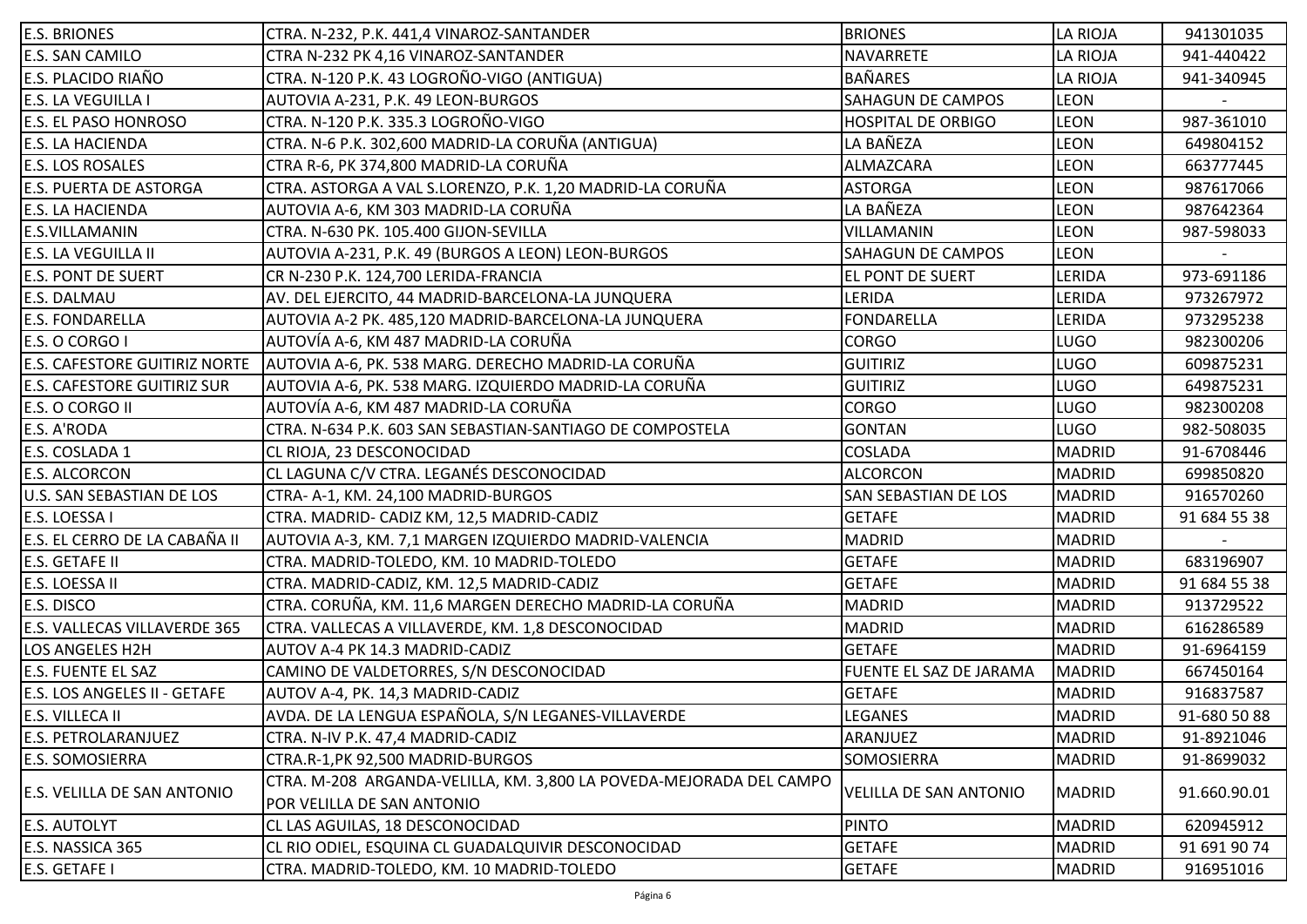| <b>E.S. BRIONES</b>                 | CTRA. N-232, P.K. 441,4 VINAROZ-SANTANDER                                           | <b>BRIONES</b>                | LA RIOJA      | 941301035    |
|-------------------------------------|-------------------------------------------------------------------------------------|-------------------------------|---------------|--------------|
| <b>E.S. SAN CAMILO</b>              | CTRA N-232 PK 4,16 VINAROZ-SANTANDER                                                | NAVARRETE                     | LA RIOJA      | 941-440422   |
| <b>E.S. PLACIDO RIAÑO</b>           | CTRA. N-120 P.K. 43 LOGROÑO-VIGO (ANTIGUA)                                          | <b>BAÑARES</b>                | LA RIOJA      | 941-340945   |
| <b>E.S. LA VEGUILLA I</b>           | AUTOVIA A-231, P.K. 49 LEON-BURGOS                                                  | <b>SAHAGUN DE CAMPOS</b>      | <b>LEON</b>   |              |
| <b>E.S. EL PASO HONROSO</b>         | CTRA. N-120 P.K. 335.3 LOGROÑO-VIGO                                                 | <b>HOSPITAL DE ORBIGO</b>     | <b>LEON</b>   | 987-361010   |
| <b>E.S. LA HACIENDA</b>             | CTRA. N-6 P.K. 302,600 MADRID-LA CORUÑA (ANTIGUA)                                   | LA BAÑEZA                     | LEON          | 649804152    |
| <b>E.S. LOS ROSALES</b>             | CTRA R-6, PK 374,800 MADRID-LA CORUÑA                                               | ALMAZCARA                     | LEON          | 663777445    |
| <b>E.S. PUERTA DE ASTORGA</b>       | CTRA. ASTORGA A VAL S.LORENZO, P.K. 1,20 MADRID-LA CORUÑA                           | <b>ASTORGA</b>                | LEON          | 987617066    |
| <b>E.S. LA HACIENDA</b>             | AUTOVIA A-6, KM 303 MADRID-LA CORUÑA                                                | LA BAÑEZA                     | <b>LEON</b>   | 987642364    |
| <b>E.S.VILLAMANIN</b>               | CTRA. N-630 PK. 105.400 GIJON-SEVILLA                                               | VILLAMANIN                    | LEON          | 987-598033   |
| <b>E.S. LA VEGUILLA II</b>          | AUTOVIA A-231, P.K. 49 (BURGOS A LEON) LEON-BURGOS                                  | <b>SAHAGUN DE CAMPOS</b>      | <b>LEON</b>   |              |
| <b>E.S. PONT DE SUERT</b>           | CR N-230 P.K. 124,700 LERIDA-FRANCIA                                                | EL PONT DE SUERT              | LERIDA        | 973-691186   |
| <b>E.S. DALMAU</b>                  | AV. DEL EJERCITO, 44 MADRID-BARCELONA-LA JUNQUERA                                   | LERIDA                        | LERIDA        | 973267972    |
| <b>E.S. FONDARELLA</b>              | AUTOVIA A-2 PK. 485,120 MADRID-BARCELONA-LA JUNQUERA                                | <b>FONDARELLA</b>             | LERIDA        | 973295238    |
| E.S. O CORGO I                      | AUTOVÍA A-6, KM 487 MADRID-LA CORUÑA                                                | <b>CORGO</b>                  | <b>LUGO</b>   | 982300206    |
|                                     | E.S. CAFESTORE GUITIRIZ NORTE   AUTOVIA A-6, PK. 538 MARG. DERECHO MADRID-LA CORUÑA | <b>GUITIRIZ</b>               | <b>LUGO</b>   | 609875231    |
| <b>E.S. CAFESTORE GUITIRIZ SUR</b>  | AUTOVIA A-6, PK. 538 MARG. IZQUIERDO MADRID-LA CORUÑA                               | <b>GUITIRIZ</b>               | <b>LUGO</b>   | 649875231    |
| E.S. O CORGO II                     | AUTOVÍA A-6, KM 487 MADRID-LA CORUÑA                                                | <b>CORGO</b>                  | <b>LUGO</b>   | 982300208    |
| E.S. A'RODA                         | CTRA. N-634 P.K. 603 SAN SEBASTIAN-SANTIAGO DE COMPOSTELA                           | <b>GONTAN</b>                 | <b>LUGO</b>   | 982-508035   |
| E.S. COSLADA 1                      | CL RIOJA, 23 DESCONOCIDAD                                                           | COSLADA                       | <b>MADRID</b> | 91-6708446   |
| <b>E.S. ALCORCON</b>                | CL LAGUNA C/V CTRA. LEGANÉS DESCONOCIDAD                                            | <b>ALCORCON</b>               | <b>MADRID</b> | 699850820    |
| U.S. SAN SEBASTIAN DE LOS           | CTRA-A-1, KM. 24,100 MADRID-BURGOS                                                  | <b>SAN SEBASTIAN DE LOS</b>   | <b>MADRID</b> | 916570260    |
| E.S. LOESSA I                       | CTRA. MADRID- CADIZ KM, 12,5 MADRID-CADIZ                                           | <b>GETAFE</b>                 | <b>MADRID</b> | 91 684 55 38 |
| E.S. EL CERRO DE LA CABAÑA II       | AUTOVIA A-3, KM. 7,1 MARGEN IZQUIERDO MADRID-VALENCIA                               | <b>MADRID</b>                 | <b>MADRID</b> |              |
| <b>E.S. GETAFE II</b>               | CTRA. MADRID-TOLEDO, KM. 10 MADRID-TOLEDO                                           | <b>GETAFE</b>                 | <b>MADRID</b> | 683196907    |
| E.S. LOESSA II                      | CTRA. MADRID-CADIZ, KM. 12,5 MADRID-CADIZ                                           | <b>GETAFE</b>                 | <b>MADRID</b> | 91 684 55 38 |
| E.S. DISCO                          | CTRA. CORUÑA, KM. 11,6 MARGEN DERECHO MADRID-LA CORUÑA                              | <b>MADRID</b>                 | <b>MADRID</b> | 913729522    |
| <b>E.S. VALLECAS VILLAVERDE 365</b> | CTRA. VALLECAS A VILLAVERDE, KM. 1,8 DESCONOCIDAD                                   | <b>MADRID</b>                 | <b>MADRID</b> | 616286589    |
| <b>LOS ANGELES H2H</b>              | AUTOV A-4 PK 14.3 MADRID-CADIZ                                                      | <b>GETAFE</b>                 | <b>MADRID</b> | 91-6964159   |
| <b>E.S. FUENTE EL SAZ</b>           | CAMINO DE VALDETORRES, S/N DESCONOCIDAD                                             | FUENTE EL SAZ DE JARAMA       | MADRID        | 667450164    |
| E.S. LOS ANGELES II - GETAFE        | AUTOV A-4, PK. 14,3 MADRID-CADIZ                                                    | <b>GETAFE</b>                 | <b>MADRID</b> | 916837587    |
| E.S. VILLECA II                     | AVDA. DE LA LENGUA ESPAÑOLA, S/N LEGANES-VILLAVERDE                                 | LEGANES                       | MADRID        | 91-680 50 88 |
| <b>E.S. PETROLARANJUEZ</b>          | CTRA. N-IV P.K. 47,4 MADRID-CADIZ                                                   | ARANJUEZ                      | <b>MADRID</b> | 91-8921046   |
| <b>E.S. SOMOSIERRA</b>              | CTRA.R-1, PK 92, 500 MADRID-BURGOS                                                  | SOMOSIERRA                    | <b>MADRID</b> | 91-8699032   |
|                                     | CTRA. M-208 ARGANDA-VELILLA, KM. 3,800 LA POVEDA-MEJORADA DEL CAMPO                 |                               |               |              |
| <b>E.S. VELILLA DE SAN ANTONIO</b>  | POR VELILLA DE SAN ANTONIO                                                          | <b>VELILLA DE SAN ANTONIO</b> | <b>MADRID</b> | 91.660.90.01 |
| <b>E.S. AUTOLYT</b>                 | CL LAS AGUILAS, 18 DESCONOCIDAD                                                     | <b>PINTO</b>                  | <b>MADRID</b> | 620945912    |
| E.S. NASSICA 365                    | CL RIO ODIEL, ESQUINA CL GUADALQUIVIR DESCONOCIDAD                                  | <b>GETAFE</b>                 | <b>MADRID</b> | 91 691 90 74 |
| <b>E.S. GETAFE I</b>                | CTRA. MADRID-TOLEDO, KM. 10 MADRID-TOLEDO                                           | <b>GETAFE</b>                 | <b>MADRID</b> | 916951016    |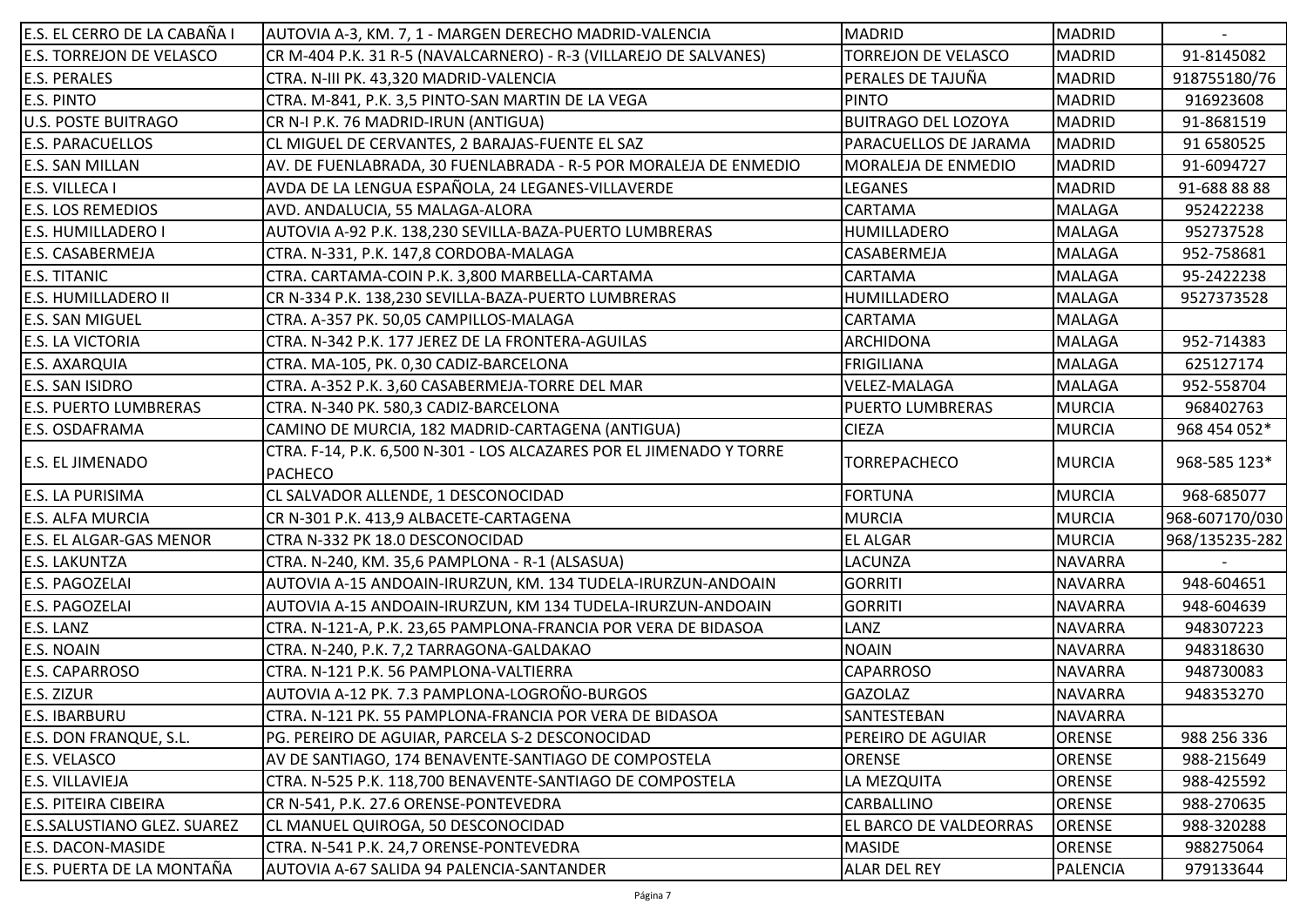| E.S. EL CERRO DE LA CABAÑA I       | AUTOVIA A-3, KM. 7, 1 - MARGEN DERECHO MADRID-VALENCIA                                 | <b>MADRID</b>              | <b>MADRID</b>  |                |
|------------------------------------|----------------------------------------------------------------------------------------|----------------------------|----------------|----------------|
| <b>E.S. TORREJON DE VELASCO</b>    | CR M-404 P.K. 31 R-5 (NAVALCARNERO) - R-3 (VILLAREJO DE SALVANES)                      | TORREJON DE VELASCO        | <b>MADRID</b>  | 91-8145082     |
| <b>E.S. PERALES</b>                | CTRA. N-III PK. 43,320 MADRID-VALENCIA                                                 | PERALES DE TAJUÑA          | <b>MADRID</b>  | 918755180/76   |
| <b>E.S. PINTO</b>                  | CTRA. M-841, P.K. 3,5 PINTO-SAN MARTIN DE LA VEGA                                      | <b>PINTO</b>               | <b>MADRID</b>  | 916923608      |
| <b>U.S. POSTE BUITRAGO</b>         | CR N-I P.K. 76 MADRID-IRUN (ANTIGUA)                                                   | <b>BUITRAGO DEL LOZOYA</b> | <b>MADRID</b>  | 91-8681519     |
| <b>E.S. PARACUELLOS</b>            | CL MIGUEL DE CERVANTES, 2 BARAJAS-FUENTE EL SAZ                                        | PARACUELLOS DE JARAMA      | MADRID         | 91 6580525     |
| <b>E.S. SAN MILLAN</b>             | AV. DE FUENLABRADA, 30 FUENLABRADA - R-5 POR MORALEJA DE ENMEDIO                       | MORALEJA DE ENMEDIO        | <b>MADRID</b>  | 91-6094727     |
| <b>E.S. VILLECA I</b>              | AVDA DE LA LENGUA ESPAÑOLA, 24 LEGANES-VILLAVERDE                                      | LEGANES                    | <b>MADRID</b>  | 91-688 88 88   |
| <b>E.S. LOS REMEDIOS</b>           | AVD. ANDALUCIA, 55 MALAGA-ALORA                                                        | CARTAMA                    | <b>MALAGA</b>  | 952422238      |
| <b>E.S. HUMILLADERO I</b>          | AUTOVIA A-92 P.K. 138,230 SEVILLA-BAZA-PUERTO LUMBRERAS                                | HUMILLADERO                | <b>MALAGA</b>  | 952737528      |
| <b>E.S. CASABERMEJA</b>            | CTRA. N-331, P.K. 147,8 CORDOBA-MALAGA                                                 | CASABERMEJA                | <b>MALAGA</b>  | 952-758681     |
| <b>E.S. TITANIC</b>                | CTRA. CARTAMA-COIN P.K. 3,800 MARBELLA-CARTAMA                                         | CARTAMA                    | <b>MALAGA</b>  | 95-2422238     |
| <b>E.S. HUMILLADERO II</b>         | CR N-334 P.K. 138,230 SEVILLA-BAZA-PUERTO LUMBRERAS                                    | HUMILLADERO                | <b>MALAGA</b>  | 9527373528     |
| <b>E.S. SAN MIGUEL</b>             | CTRA. A-357 PK. 50,05 CAMPILLOS-MALAGA                                                 | CARTAMA                    | <b>MALAGA</b>  |                |
| <b>E.S. LA VICTORIA</b>            | CTRA. N-342 P.K. 177 JEREZ DE LA FRONTERA-AGUILAS                                      | <b>ARCHIDONA</b>           | <b>MALAGA</b>  | 952-714383     |
| <b>E.S. AXARQUIA</b>               | CTRA. MA-105, PK. 0,30 CADIZ-BARCELONA                                                 | <b>FRIGILIANA</b>          | <b>MALAGA</b>  | 625127174      |
| <b>E.S. SAN ISIDRO</b>             | CTRA. A-352 P.K. 3,60 CASABERMEJA-TORRE DEL MAR                                        | VELEZ-MALAGA               | <b>MALAGA</b>  | 952-558704     |
| <b>E.S. PUERTO LUMBRERAS</b>       | CTRA. N-340 PK. 580,3 CADIZ-BARCELONA                                                  | <b>PUERTO LUMBRERAS</b>    | <b>MURCIA</b>  | 968402763      |
| <b>E.S. OSDAFRAMA</b>              | CAMINO DE MURCIA, 182 MADRID-CARTAGENA (ANTIGUA)                                       | <b>CIEZA</b>               | <b>MURCIA</b>  | 968 454 052*   |
| <b>E.S. EL JIMENADO</b>            | CTRA. F-14, P.K. 6,500 N-301 - LOS ALCAZARES POR EL JIMENADO Y TORRE<br><b>PACHECO</b> | TORREPACHECO               | <b>MURCIA</b>  | 968-585 123*   |
| <b>E.S. LA PURISIMA</b>            | CL SALVADOR ALLENDE, 1 DESCONOCIDAD                                                    | <b>FORTUNA</b>             | <b>MURCIA</b>  | 968-685077     |
| <b>E.S. ALFA MURCIA</b>            | CR N-301 P.K. 413,9 ALBACETE-CARTAGENA                                                 | <b>MURCIA</b>              | <b>MURCIA</b>  | 968-607170/030 |
| <b>E.S. EL ALGAR-GAS MENOR</b>     | CTRA N-332 PK 18.0 DESCONOCIDAD                                                        | <b>EL ALGAR</b>            | <b>MURCIA</b>  | 968/135235-282 |
| <b>E.S. LAKUNTZA</b>               | CTRA. N-240, KM. 35,6 PAMPLONA - R-1 (ALSASUA)                                         | LACUNZA                    | <b>NAVARRA</b> |                |
| <b>E.S. PAGOZELAI</b>              | AUTOVIA A-15 ANDOAIN-IRURZUN, KM. 134 TUDELA-IRURZUN-ANDOAIN                           | <b>GORRITI</b>             | <b>NAVARRA</b> | 948-604651     |
| E.S. PAGOZELAI                     | AUTOVIA A-15 ANDOAIN-IRURZUN, KM 134 TUDELA-IRURZUN-ANDOAIN                            | <b>GORRITI</b>             | <b>NAVARRA</b> | 948-604639     |
| E.S. LANZ                          | CTRA. N-121-A, P.K. 23,65 PAMPLONA-FRANCIA POR VERA DE BIDASOA                         | LANZ                       | <b>NAVARRA</b> | 948307223      |
| <b>E.S. NOAIN</b>                  | CTRA. N-240, P.K. 7,2 TARRAGONA-GALDAKAO                                               | <b>NOAIN</b>               | <b>NAVARRA</b> | 948318630      |
| <b>E.S. CAPARROSO</b>              | CTRA. N-121 P.K. 56 PAMPLONA-VALTIERRA                                                 | <b>CAPARROSO</b>           | <b>NAVARRA</b> | 948730083      |
| E.S. ZIZUR                         | AUTOVIA A-12 PK. 7.3 PAMPLONA-LOGROÑO-BURGOS                                           | <b>GAZOLAZ</b>             | <b>NAVARRA</b> | 948353270      |
| <b>E.S. IBARBURU</b>               | CTRA. N-121 PK. 55 PAMPLONA-FRANCIA POR VERA DE BIDASOA                                | SANTESTEBAN                | NAVARRA        |                |
| <b>E.S. DON FRANQUE, S.L.</b>      | PG. PEREIRO DE AGUIAR, PARCELA S-2 DESCONOCIDAD                                        | PEREIRO DE AGUIAR          | <b>ORENSE</b>  | 988 256 336    |
| E.S. VELASCO                       | AV DE SANTIAGO, 174 BENAVENTE-SANTIAGO DE COMPOSTELA                                   | <b>ORENSE</b>              | ORENSE         | 988-215649     |
| <b>E.S. VILLAVIEJA</b>             | CTRA. N-525 P.K. 118,700 BENAVENTE-SANTIAGO DE COMPOSTELA                              | LA MEZQUITA                | <b>ORENSE</b>  | 988-425592     |
| <b>E.S. PITEIRA CIBEIRA</b>        | CR N-541, P.K. 27.6 ORENSE-PONTEVEDRA                                                  | CARBALLINO                 | <b>ORENSE</b>  | 988-270635     |
| <b>E.S.SALUSTIANO GLEZ. SUAREZ</b> | CL MANUEL QUIROGA, 50 DESCONOCIDAD                                                     | EL BARCO DE VALDEORRAS     | <b>ORENSE</b>  | 988-320288     |
| <b>E.S. DACON-MASIDE</b>           | CTRA. N-541 P.K. 24,7 ORENSE-PONTEVEDRA                                                | <b>MASIDE</b>              | ORENSE         | 988275064      |
| E.S. PUERTA DE LA MONTAÑA          | AUTOVIA A-67 SALIDA 94 PALENCIA-SANTANDER                                              | <b>ALAR DEL REY</b>        | PALENCIA       | 979133644      |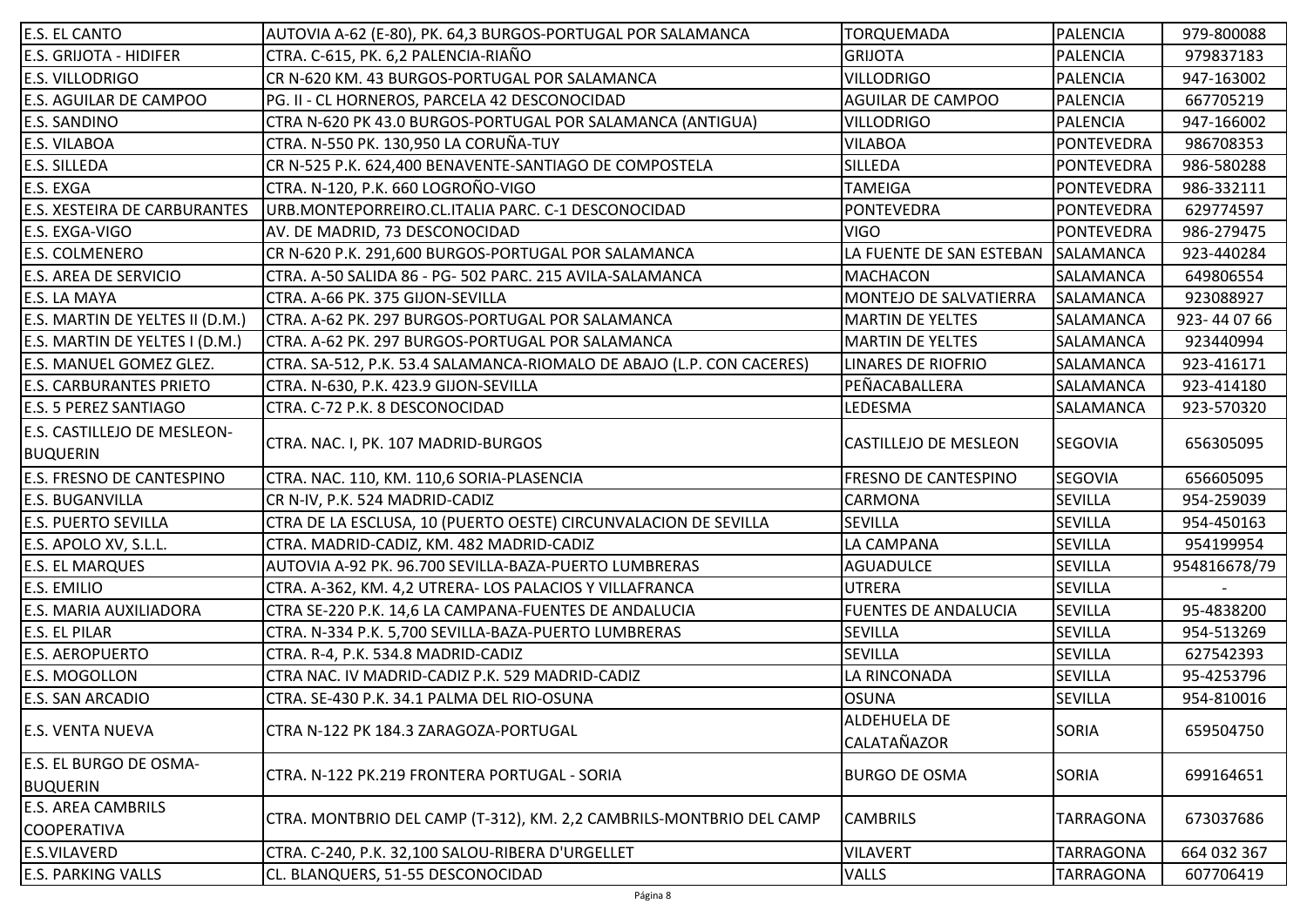| E.S. EL CANTO                   | AUTOVIA A-62 (E-80), PK. 64,3 BURGOS-PORTUGAL POR SALAMANCA           | <b>TORQUEMADA</b>                  | PALENCIA          | 979-800088   |
|---------------------------------|-----------------------------------------------------------------------|------------------------------------|-------------------|--------------|
| <b>E.S. GRIJOTA - HIDIFER</b>   | CTRA. C-615, PK. 6,2 PALENCIA-RIAÑO                                   | <b>GRIJOTA</b>                     | <b>PALENCIA</b>   | 979837183    |
| E.S. VILLODRIGO                 | CR N-620 KM. 43 BURGOS-PORTUGAL POR SALAMANCA                         | <b>VILLODRIGO</b>                  | PALENCIA          | 947-163002   |
| E.S. AGUILAR DE CAMPOO          | PG. II - CL HORNEROS, PARCELA 42 DESCONOCIDAD                         | <b>AGUILAR DE CAMPOO</b>           | PALENCIA          | 667705219    |
| E.S. SANDINO                    | CTRA N-620 PK 43.0 BURGOS-PORTUGAL POR SALAMANCA (ANTIGUA)            | <b>VILLODRIGO</b>                  | <b>PALENCIA</b>   | 947-166002   |
| E.S. VILABOA                    | CTRA. N-550 PK. 130,950 LA CORUÑA-TUY                                 | <b>VILABOA</b>                     | <b>PONTEVEDRA</b> | 986708353    |
| <b>E.S. SILLEDA</b>             | CR N-525 P.K. 624,400 BENAVENTE-SANTIAGO DE COMPOSTELA                | <b>SILLEDA</b>                     | PONTEVEDRA        | 986-580288   |
| E.S. EXGA                       | CTRA. N-120, P.K. 660 LOGROÑO-VIGO                                    | <b>TAMEIGA</b>                     | PONTEVEDRA        | 986-332111   |
| E.S. XESTEIRA DE CARBURANTES    | URB.MONTEPORREIRO.CL.ITALIA PARC. C-1 DESCONOCIDAD                    | <b>PONTEVEDRA</b>                  | <b>PONTEVEDRA</b> | 629774597    |
| E.S. EXGA-VIGO                  | AV. DE MADRID, 73 DESCONOCIDAD                                        | <b>VIGO</b>                        | <b>PONTEVEDRA</b> | 986-279475   |
| <b>E.S. COLMENERO</b>           | CR N-620 P.K. 291,600 BURGOS-PORTUGAL POR SALAMANCA                   | LA FUENTE DE SAN ESTEBAN SALAMANCA |                   | 923-440284   |
| E.S. AREA DE SERVICIO           | CTRA. A-50 SALIDA 86 - PG- 502 PARC. 215 AVILA-SALAMANCA              | <b>MACHACON</b>                    | SALAMANCA         | 649806554    |
| E.S. LA MAYA                    | CTRA. A-66 PK. 375 GIJON-SEVILLA                                      | MONTEJO DE SALVATIERRA             | SALAMANCA         | 923088927    |
| E.S. MARTIN DE YELTES II (D.M.) | CTRA. A-62 PK. 297 BURGOS-PORTUGAL POR SALAMANCA                      | <b>MARTIN DE YELTES</b>            | SALAMANCA         | 923-440766   |
| E.S. MARTIN DE YELTES I (D.M.)  | CTRA. A-62 PK. 297 BURGOS-PORTUGAL POR SALAMANCA                      | <b>MARTIN DE YELTES</b>            | SALAMANCA         | 923440994    |
| E.S. MANUEL GOMEZ GLEZ.         | CTRA. SA-512, P.K. 53.4 SALAMANCA-RIOMALO DE ABAJO (L.P. CON CACERES) | <b>LINARES DE RIOFRIO</b>          | SALAMANCA         | 923-416171   |
| <b>E.S. CARBURANTES PRIETO</b>  | CTRA. N-630, P.K. 423.9 GIJON-SEVILLA                                 | PEÑACABALLERA                      | SALAMANCA         | 923-414180   |
| <b>E.S. 5 PEREZ SANTIAGO</b>    | CTRA. C-72 P.K. 8 DESCONOCIDAD                                        | LEDESMA                            | SALAMANCA         | 923-570320   |
| E.S. CASTILLEJO DE MESLEON-     |                                                                       |                                    |                   |              |
| <b>BUQUERIN</b>                 | CTRA. NAC. I, PK. 107 MADRID-BURGOS                                   | CASTILLEJO DE MESLEON              | <b>SEGOVIA</b>    | 656305095    |
| E.S. FRESNO DE CANTESPINO       | CTRA. NAC. 110, KM. 110,6 SORIA-PLASENCIA                             | FRESNO DE CANTESPINO               | <b>SEGOVIA</b>    | 656605095    |
| <b>E.S. BUGANVILLA</b>          | CR N-IV, P.K. 524 MADRID-CADIZ                                        | CARMONA                            | <b>SEVILLA</b>    | 954-259039   |
| <b>E.S. PUERTO SEVILLA</b>      | CTRA DE LA ESCLUSA, 10 (PUERTO OESTE) CIRCUNVALACION DE SEVILLA       | SEVILLA                            | SEVILLA           | 954-450163   |
| E.S. APOLO XV, S.L.L.           | CTRA. MADRID-CADIZ, KM. 482 MADRID-CADIZ                              | LA CAMPANA                         | SEVILLA           | 954199954    |
| <b>E.S. EL MARQUES</b>          | AUTOVIA A-92 PK. 96.700 SEVILLA-BAZA-PUERTO LUMBRERAS                 | <b>AGUADULCE</b>                   | SEVILLA           | 954816678/79 |
| E.S. EMILIO                     | CTRA. A-362, KM. 4,2 UTRERA- LOS PALACIOS Y VILLAFRANCA               | <b>UTRERA</b>                      | <b>SEVILLA</b>    |              |
| E.S. MARIA AUXILIADORA          | CTRA SE-220 P.K. 14,6 LA CAMPANA-FUENTES DE ANDALUCIA                 | <b>FUENTES DE ANDALUCIA</b>        | SEVILLA           | 95-4838200   |
| E.S. EL PILAR                   | CTRA. N-334 P.K. 5,700 SEVILLA-BAZA-PUERTO LUMBRERAS                  | SEVILLA                            | SEVILLA           | 954-513269   |
| <b>E.S. AEROPUERTO</b>          | CTRA. R-4, P.K. 534.8 MADRID-CADIZ                                    | <b>SEVILLA</b>                     | SEVILLA           | 627542393    |
| E.S. MOGOLLON                   | CTRA NAC. IV MADRID-CADIZ P.K. 529 MADRID-CADIZ                       | LA RINCONADA                       | SEVILLA           | 95-4253796   |
| E.S. SAN ARCADIO                | CTRA. SE-430 P.K. 34.1 PALMA DEL RIO-OSUNA                            | <b>OSUNA</b>                       | SEVILLA           | 954-810016   |
|                                 | CTRA N-122 PK 184.3 ZARAGOZA-PORTUGAL                                 | ALDEHUELA DE                       | SORIA             | 659504750    |
| <b>E.S. VENTA NUEVA</b>         |                                                                       | <b>CALATAÑAZOR</b>                 |                   |              |
| E.S. EL BURGO DE OSMA-          | CTRA. N-122 PK.219 FRONTERA PORTUGAL - SORIA                          | <b>BURGO DE OSMA</b>               | SORIA             | 699164651    |
| <b>BUQUERIN</b>                 |                                                                       |                                    |                   |              |
| <b>E.S. AREA CAMBRILS</b>       | CTRA. MONTBRIO DEL CAMP (T-312), KM. 2,2 CAMBRILS-MONTBRIO DEL CAMP   |                                    | <b>TARRAGONA</b>  | 673037686    |
| <b>COOPERATIVA</b>              |                                                                       | <b>CAMBRILS</b>                    |                   |              |
| E.S.VILAVERD                    | CTRA. C-240, P.K. 32,100 SALOU-RIBERA D'URGELLET                      | <b>VILAVERT</b>                    | <b>TARRAGONA</b>  | 664 032 367  |
| <b>E.S. PARKING VALLS</b>       | CL. BLANQUERS, 51-55 DESCONOCIDAD                                     | <b>VALLS</b>                       | <b>TARRAGONA</b>  | 607706419    |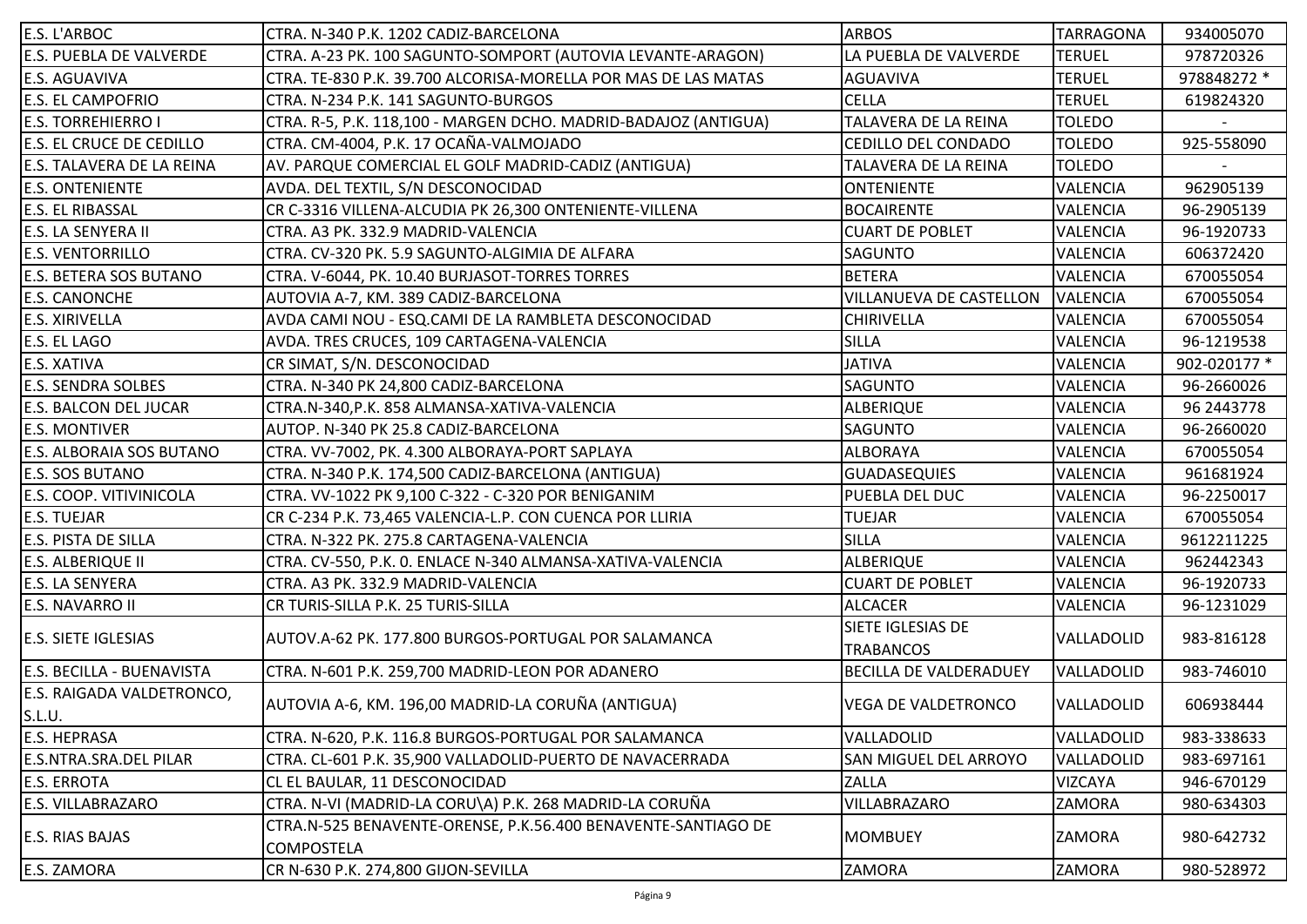| <b>E.S. L'ARBOC</b>             | CTRA. N-340 P.K. 1202 CADIZ-BARCELONA                           | <b>ARBOS</b>                  | <b>TARRAGONA</b> | 934005070    |
|---------------------------------|-----------------------------------------------------------------|-------------------------------|------------------|--------------|
| <b>E.S. PUEBLA DE VALVERDE</b>  | CTRA. A-23 PK. 100 SAGUNTO-SOMPORT (AUTOVIA LEVANTE-ARAGON)     | LA PUEBLA DE VALVERDE         | <b>TERUEL</b>    | 978720326    |
| <b>E.S. AGUAVIVA</b>            | CTRA. TE-830 P.K. 39.700 ALCORISA-MORELLA POR MAS DE LAS MATAS  | <b>AGUAVIVA</b>               | <b>TERUEL</b>    | 978848272 *  |
| <b>E.S. EL CAMPOFRIO</b>        | CTRA. N-234 P.K. 141 SAGUNTO-BURGOS                             | <b>CELLA</b>                  | <b>TERUEL</b>    | 619824320    |
| <b>E.S. TORREHIERRO I</b>       | CTRA. R-5, P.K. 118,100 - MARGEN DCHO. MADRID-BADAJOZ (ANTIGUA) | TALAVERA DE LA REINA          | <b>TOLEDO</b>    |              |
| <b>E.S. EL CRUCE DE CEDILLO</b> | CTRA. CM-4004, P.K. 17 OCAÑA-VALMOJADO                          | CEDILLO DEL CONDADO           | <b>TOLEDO</b>    | 925-558090   |
| E.S. TALAVERA DE LA REINA       | AV. PARQUE COMERCIAL EL GOLF MADRID-CADIZ (ANTIGUA)             | TALAVERA DE LA REINA          | <b>TOLEDO</b>    |              |
| <b>E.S. ONTENIENTE</b>          | AVDA. DEL TEXTIL, S/N DESCONOCIDAD                              | <b>ONTENIENTE</b>             | VALENCIA         | 962905139    |
| <b>E.S. EL RIBASSAL</b>         | CR C-3316 VILLENA-ALCUDIA PK 26,300 ONTENIENTE-VILLENA          | <b>BOCAIRENTE</b>             | VALENCIA         | 96-2905139   |
| <b>E.S. LA SENYERA II</b>       | CTRA. A3 PK. 332.9 MADRID-VALENCIA                              | <b>CUART DE POBLET</b>        | VALENCIA         | 96-1920733   |
| <b>E.S. VENTORRILLO</b>         | CTRA. CV-320 PK. 5.9 SAGUNTO-ALGIMIA DE ALFARA                  | <b>SAGUNTO</b>                | VALENCIA         | 606372420    |
| <b>E.S. BETERA SOS BUTANO</b>   | CTRA. V-6044, PK. 10.40 BURJASOT-TORRES TORRES                  | <b>BETERA</b>                 | VALENCIA         | 670055054    |
| <b>E.S. CANONCHE</b>            | AUTOVIA A-7, KM. 389 CADIZ-BARCELONA                            | VILLANUEVA DE CASTELLON       | VALENCIA         | 670055054    |
| <b>E.S. XIRIVELLA</b>           | AVDA CAMI NOU - ESQ.CAMI DE LA RAMBLETA DESCONOCIDAD            | CHIRIVELLA                    | VALENCIA         | 670055054    |
| E.S. EL LAGO                    | AVDA. TRES CRUCES, 109 CARTAGENA-VALENCIA                       | <b>SILLA</b>                  | VALENCIA         | 96-1219538   |
| <b>E.S. XATIVA</b>              | CR SIMAT, S/N. DESCONOCIDAD                                     | <b>JATIVA</b>                 | VALENCIA         | 902-020177 * |
| <b>E.S. SENDRA SOLBES</b>       | CTRA. N-340 PK 24,800 CADIZ-BARCELONA                           | SAGUNTO                       | VALENCIA         | 96-2660026   |
| <b>E.S. BALCON DEL JUCAR</b>    | CTRA.N-340, P.K. 858 ALMANSA-XATIVA-VALENCIA                    | ALBERIQUE                     | VALENCIA         | 96 2443778   |
| <b>E.S. MONTIVER</b>            | AUTOP. N-340 PK 25.8 CADIZ-BARCELONA                            | <b>SAGUNTO</b>                | VALENCIA         | 96-2660020   |
| <b>E.S. ALBORAIA SOS BUTANO</b> | CTRA. VV-7002, PK. 4.300 ALBORAYA-PORT SAPLAYA                  | <b>ALBORAYA</b>               | <b>VALENCIA</b>  | 670055054    |
| <b>E.S. SOS BUTANO</b>          | CTRA. N-340 P.K. 174,500 CADIZ-BARCELONA (ANTIGUA)              | <b>GUADASEQUIES</b>           | VALENCIA         | 961681924    |
| <b>E.S. COOP. VITIVINICOLA</b>  | CTRA. VV-1022 PK 9,100 C-322 - C-320 POR BENIGANIM              | PUEBLA DEL DUC                | VALENCIA         | 96-2250017   |
| <b>E.S. TUEJAR</b>              | CR C-234 P.K. 73,465 VALENCIA-L.P. CON CUENCA POR LLIRIA        | TUEJAR                        | VALENCIA         | 670055054    |
| <b>E.S. PISTA DE SILLA</b>      | CTRA. N-322 PK. 275.8 CARTAGENA-VALENCIA                        | <b>SILLA</b>                  | <b>VALENCIA</b>  | 9612211225   |
| <b>E.S. ALBERIQUE II</b>        | CTRA. CV-550, P.K. O. ENLACE N-340 ALMANSA-XATIVA-VALENCIA      | <b>ALBERIQUE</b>              | VALENCIA         | 962442343    |
| <b>E.S. LA SENYERA</b>          | CTRA. A3 PK. 332.9 MADRID-VALENCIA                              | <b>CUART DE POBLET</b>        | VALENCIA         | 96-1920733   |
| <b>E.S. NAVARRO II</b>          | CR TURIS-SILLA P.K. 25 TURIS-SILLA                              | <b>ALCACER</b>                | VALENCIA         | 96-1231029   |
|                                 |                                                                 | SIETE IGLESIAS DE             |                  |              |
| <b>E.S. SIETE IGLESIAS</b>      | AUTOV.A-62 PK. 177.800 BURGOS-PORTUGAL POR SALAMANCA            | <b>TRABANCOS</b>              | VALLADOLID       | 983-816128   |
| E.S. BECILLA - BUENAVISTA       | CTRA. N-601 P.K. 259,700 MADRID-LEON POR ADANERO                | <b>BECILLA DE VALDERADUEY</b> | VALLADOLID       | 983-746010   |
| E.S. RAIGADA VALDETRONCO,       |                                                                 |                               |                  |              |
| S.L.U.                          | AUTOVIA A-6, KM. 196,00 MADRID-LA CORUÑA (ANTIGUA)              | <b>VEGA DE VALDETRONCO</b>    | VALLADOLID       | 606938444    |
| <b>E.S. HEPRASA</b>             | CTRA. N-620, P.K. 116.8 BURGOS-PORTUGAL POR SALAMANCA           | VALLADOLID                    | VALLADOLID       | 983-338633   |
| E.S.NTRA.SRA.DEL PILAR          | CTRA. CL-601 P.K. 35,900 VALLADOLID-PUERTO DE NAVACERRADA       | SAN MIGUEL DEL ARROYO         | VALLADOLID       | 983-697161   |
| <b>E.S. ERROTA</b>              | CL EL BAULAR, 11 DESCONOCIDAD                                   | <b>ZALLA</b>                  | <b>VIZCAYA</b>   | 946-670129   |
| <b>E.S. VILLABRAZARO</b>        | CTRA. N-VI (MADRID-LA CORU\A) P.K. 268 MADRID-LA CORUÑA         | VILLABRAZARO                  | ZAMORA           | 980-634303   |
|                                 | CTRA.N-525 BENAVENTE-ORENSE, P.K.56.400 BENAVENTE-SANTIAGO DE   |                               |                  |              |
| <b>E.S. RIAS BAJAS</b>          | COMPOSTELA                                                      | <b>MOMBUEY</b>                | <b>ZAMORA</b>    | 980-642732   |
| <b>E.S. ZAMORA</b>              | CR N-630 P.K. 274,800 GIJON-SEVILLA                             | ZAMORA                        | ZAMORA           | 980-528972   |